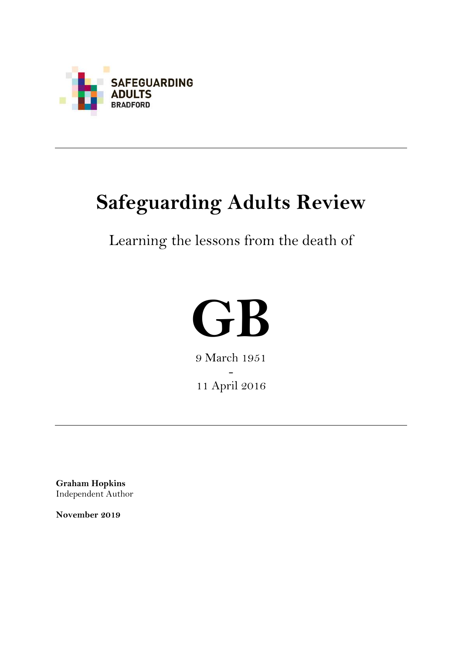

# **Safeguarding Adults Review**

### Learning the lessons from the death of



9 March 1951 - 11 April 2016

**Graham Hopkins** Independent Author

**November 2019**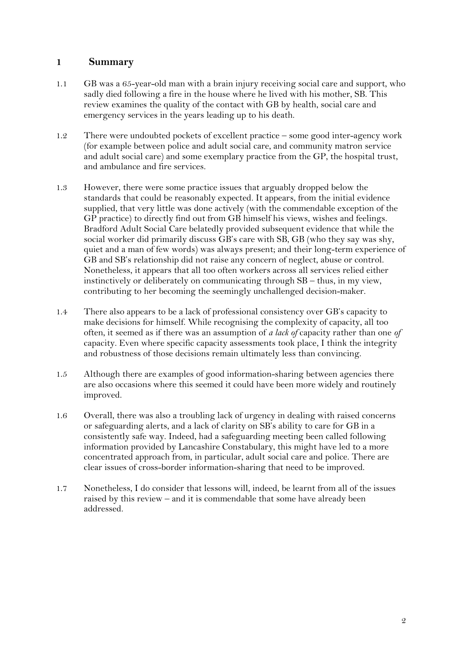#### **1 Summary**

- 1.1 GB was a 65-year-old man with a brain injury receiving social care and support, who sadly died following a fire in the house where he lived with his mother, SB. This review examines the quality of the contact with GB by health, social care and emergency services in the years leading up to his death.
- 1.2 There were undoubted pockets of excellent practice some good inter-agency work (for example between police and adult social care, and community matron service and adult social care) and some exemplary practice from the GP, the hospital trust, and ambulance and fire services.
- 1.3 However, there were some practice issues that arguably dropped below the standards that could be reasonably expected. It appears, from the initial evidence supplied, that very little was done actively (with the commendable exception of the GP practice) to directly find out from GB himself his views, wishes and feelings. Bradford Adult Social Care belatedly provided subsequent evidence that while the social worker did primarily discuss GB's care with SB, GB (who they say was shy, quiet and a man of few words) was always present; and their long-term experience of GB and SB's relationship did not raise any concern of neglect, abuse or control. Nonetheless, it appears that all too often workers across all services relied either instinctively or deliberately on communicating through SB – thus, in my view, contributing to her becoming the seemingly unchallenged decision-maker.
- 1.4 There also appears to be a lack of professional consistency over GB's capacity to make decisions for himself. While recognising the complexity of capacity, all too often, it seemed as if there was an assumption of *a lack of* capacity rather than one *of* capacity. Even where specific capacity assessments took place, I think the integrity and robustness of those decisions remain ultimately less than convincing.
- 1.5 Although there are examples of good information-sharing between agencies there are also occasions where this seemed it could have been more widely and routinely improved.
- 1.6 Overall, there was also a troubling lack of urgency in dealing with raised concerns or safeguarding alerts, and a lack of clarity on SB's ability to care for GB in a consistently safe way. Indeed, had a safeguarding meeting been called following information provided by Lancashire Constabulary, this might have led to a more concentrated approach from, in particular, adult social care and police. There are clear issues of cross-border information-sharing that need to be improved.
- 1.7 Nonetheless, I do consider that lessons will, indeed, be learnt from all of the issues raised by this review – and it is commendable that some have already been addressed.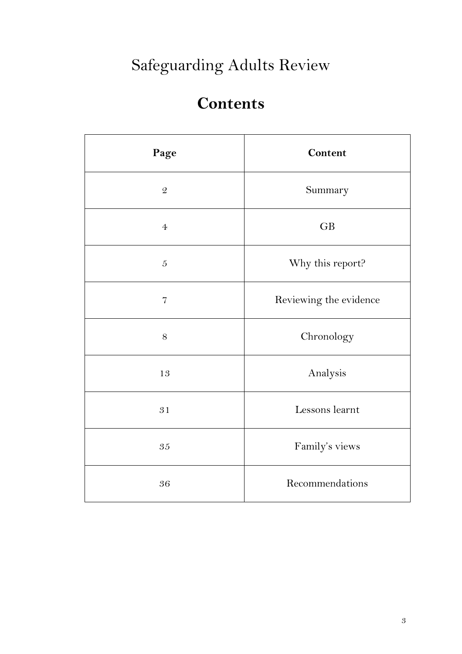## Safeguarding Adults Review

## **Contents**

| Page           | <b>Content</b>         |
|----------------|------------------------|
| $\mathcal Q$   | Summary                |
| $\overline{4}$ | <b>GB</b>              |
| $\overline{5}$ | Why this report?       |
| $\overline{7}$ | Reviewing the evidence |
| $8\,$          | Chronology             |
| 13             | Analysis               |
| 31             | Lessons learnt         |
| 35             | Family's views         |
| 36             | Recommendations        |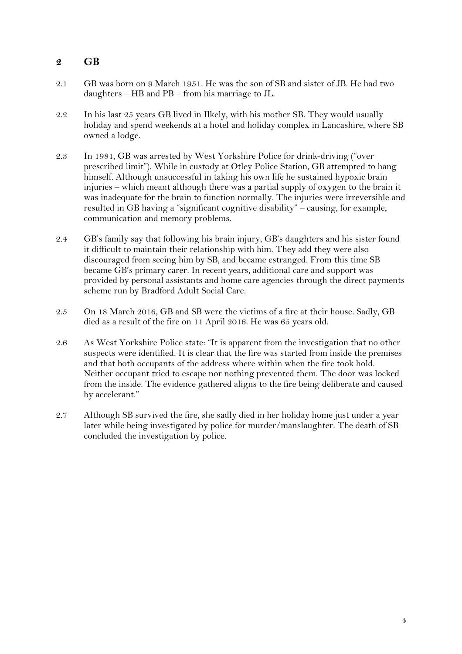#### **2 GB**

- 2.1 GB was born on 9 March 1951. He was the son of SB and sister of JB. He had two daughters – HB and PB – from his marriage to JL.
- 2.2 In his last 25 years GB lived in Ilkely, with his mother SB. They would usually holiday and spend weekends at a hotel and holiday complex in Lancashire, where SB owned a lodge.
- 2.3 In 1981, GB was arrested by West Yorkshire Police for drink-driving ("over prescribed limit"). While in custody at Otley Police Station, GB attempted to hang himself. Although unsuccessful in taking his own life he sustained hypoxic brain injuries – which meant although there was a partial supply of oxygen to the brain it was inadequate for the brain to function normally. The injuries were irreversible and resulted in GB having a "significant cognitive disability" – causing, for example, communication and memory problems.
- 2.4 GB's family say that following his brain injury, GB's daughters and his sister found it difficult to maintain their relationship with him. They add they were also discouraged from seeing him by SB, and became estranged. From this time SB became GB's primary carer. In recent years, additional care and support was provided by personal assistants and home care agencies through the direct payments scheme run by Bradford Adult Social Care.
- 2.5 On 18 March 2016, GB and SB were the victims of a fire at their house. Sadly, GB died as a result of the fire on 11 April 2016. He was 65 years old.
- 2.6 As West Yorkshire Police state: "It is apparent from the investigation that no other suspects were identified. It is clear that the fire was started from inside the premises and that both occupants of the address where within when the fire took hold. Neither occupant tried to escape nor nothing prevented them. The door was locked from the inside. The evidence gathered aligns to the fire being deliberate and caused by accelerant."
- 2.7 Although SB survived the fire, she sadly died in her holiday home just under a year later while being investigated by police for murder/manslaughter. The death of SB concluded the investigation by police.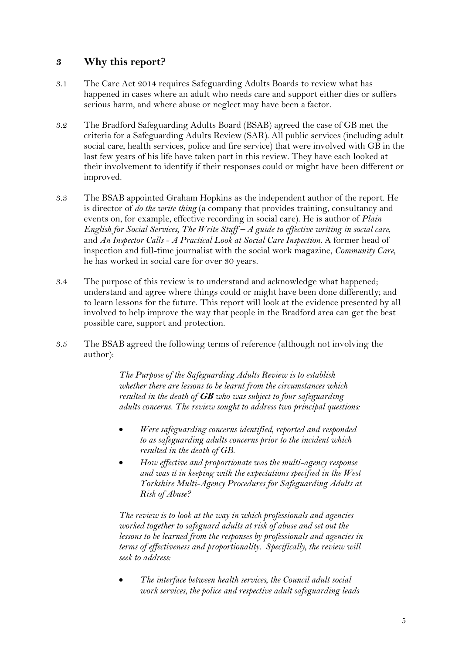#### **3 Why this report?**

- 3.1 The Care Act 2014 requires Safeguarding Adults Boards to review what has happened in cases where an adult who needs care and support either dies or suffers serious harm, and where abuse or neglect may have been a factor.
- 3.2 The Bradford Safeguarding Adults Board (BSAB) agreed the case of GB met the criteria for a Safeguarding Adults Review (SAR). All public services (including adult social care, health services, police and fire service) that were involved with GB in the last few years of his life have taken part in this review. They have each looked at their involvement to identify if their responses could or might have been different or improved.
- 3.3 The BSAB appointed Graham Hopkins as the independent author of the report. He is director of *do the write thing* (a company that provides training, consultancy and events on, for example, effective recording in social care). He is author of *Plain English for Social Services, The Write Stuff – A guide to effective writing in social care,*  and *An Inspector Calls - A Practical Look at Social Care Inspection*. A former head of inspection and full-time journalist with the social work magazine, *Community Care*, he has worked in social care for over 30 years.
- 3.4 The purpose of this review is to understand and acknowledge what happened; understand and agree where things could or might have been done differently; and to learn lessons for the future. This report will look at the evidence presented by all involved to help improve the way that people in the Bradford area can get the best possible care, support and protection.
- 3.5 The BSAB agreed the following terms of reference (although not involving the author):

*The Purpose of the Safeguarding Adults Review is to establish whether there are lessons to be learnt from the circumstances which resulted in the death of* **GB** *who was subject to four safeguarding adults concerns. The review sought to address two principal questions:*

- *Were safeguarding concerns identified, reported and responded to as safeguarding adults concerns prior to the incident which resulted in the death of GB.*
- *How effective and proportionate was the multi-agency response and was it in keeping with the expectations specified in the West Yorkshire Multi-Agency Procedures for Safeguarding Adults at Risk of Abuse?*

*The review is to look at the way in which professionals and agencies worked together to safeguard adults at risk of abuse and set out the lessons to be learned from the responses by professionals and agencies in terms of effectiveness and proportionality. Specifically, the review will seek to address:*

 *The interface between health services, the Council adult social work services, the police and respective adult safeguarding leads*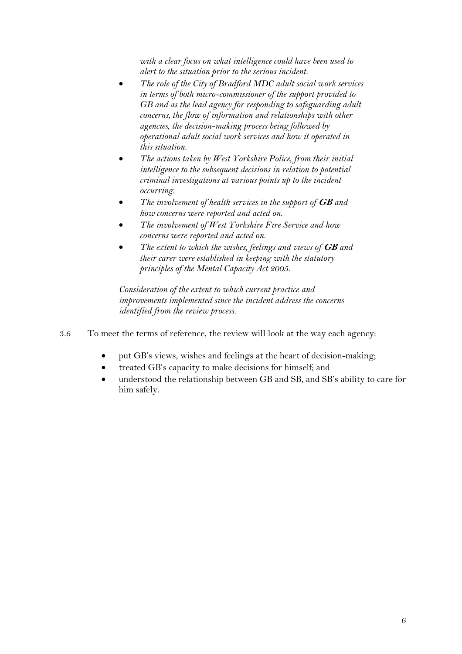*with a clear focus on what intelligence could have been used to alert to the situation prior to the serious incident.*

- *The role of the City of Bradford MDC adult social work services in terms of both micro-commissioner of the support provided to GB and as the lead agency for responding to safeguarding adult concerns, the flow of information and relationships with other agencies, the decision-making process being followed by operational adult social work services and how it operated in this situation.*
- *The actions taken by West Yorkshire Police, from their initial intelligence to the subsequent decisions in relation to potential criminal investigations at various points up to the incident occurring.*
- *The involvement of health services in the support of* **GB** *and how concerns were reported and acted on.*
- *The involvement of West Yorkshire Fire Service and how concerns were reported and acted on.*
- *The extent to which the wishes, feelings and views of* **GB** *and their carer were established in keeping with the statutory principles of the Mental Capacity Act 2005.*

*Consideration of the extent to which current practice and improvements implemented since the incident address the concerns identified from the review process.*

- 3.6 To meet the terms of reference, the review will look at the way each agency:
	- put GB's views, wishes and feelings at the heart of decision-making;
	- treated GB's capacity to make decisions for himself; and
	- understood the relationship between GB and SB, and SB's ability to care for him safely.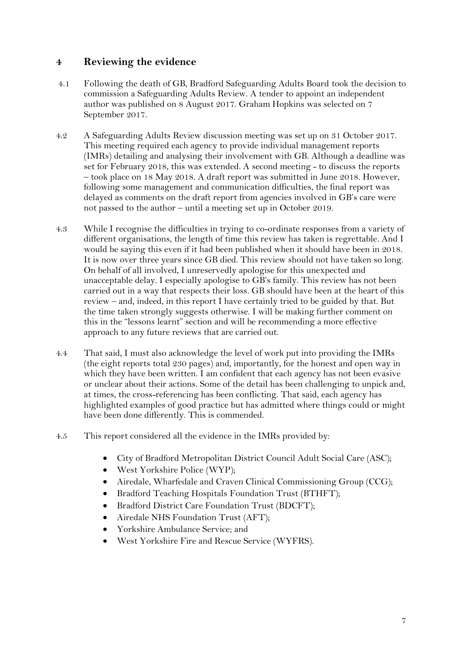#### **4 Reviewing the evidence**

- 4.1 Following the death of GB, Bradford Safeguarding Adults Board took the decision to commission a Safeguarding Adults Review. A tender to appoint an independent author was published on 8 August 2017. Graham Hopkins was selected on 7 September 2017.
- 4.2 A Safeguarding Adults Review discussion meeting was set up on 31 October 2017. This meeting required each agency to provide individual management reports (IMRs) detailing and analysing their involvement with GB. Although a deadline was set for February 2018, this was extended. A second meeting - to discuss the reports – took place on 18 May 2018. A draft report was submitted in June 2018. However, following some management and communication difficulties, the final report was delayed as comments on the draft report from agencies involved in GB's care were not passed to the author – until a meeting set up in October 2019.
- 4.3 While I recognise the difficulties in trying to co-ordinate responses from a variety of different organisations, the length of time this review has taken is regrettable. And I would be saying this even if it had been published when it should have been in 2018. It is now over three years since GB died. This review should not have taken so long. On behalf of all involved, I unreservedly apologise for this unexpected and unacceptable delay. I especially apologise to GB's family. This review has not been carried out in a way that respects their loss. GB should have been at the heart of this review – and, indeed, in this report I have certainly tried to be guided by that. But the time taken strongly suggests otherwise. I will be making further comment on this in the "lessons learnt" section and will be recommending a more effective approach to any future reviews that are carried out.
- 4.4 That said, I must also acknowledge the level of work put into providing the IMRs (the eight reports total 230 pages) and, importantly, for the honest and open way in which they have been written. I am confident that each agency has not been evasive or unclear about their actions. Some of the detail has been challenging to unpick and, at times, the cross-referencing has been conflicting. That said, each agency has highlighted examples of good practice but has admitted where things could or might have been done differently. This is commended.
- 4.5 This report considered all the evidence in the IMRs provided by:
	- City of Bradford Metropolitan District Council Adult Social Care (ASC);
	- West Yorkshire Police (WYP);
	- Airedale, Wharfedale and Craven Clinical Commissioning Group (CCG);
	- Bradford Teaching Hospitals Foundation Trust (BTHFT);
	- Bradford District Care Foundation Trust (BDCFT);
	- Airedale NHS Foundation Trust (AFT);
	- Yorkshire Ambulance Service; and
	- West Yorkshire Fire and Rescue Service (WYFRS).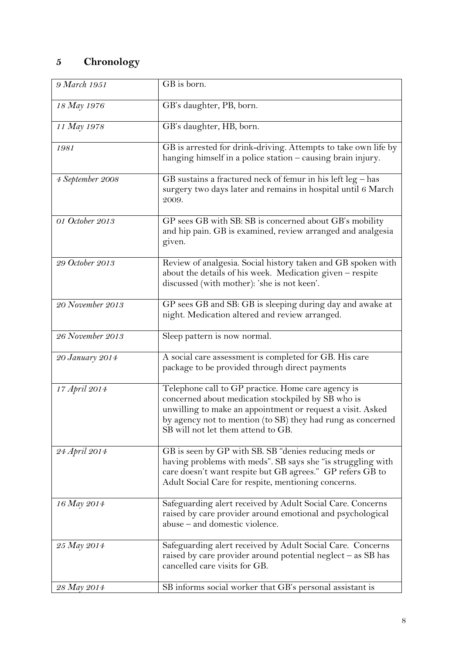### **5 Chronology**

| 9 March 1951     | GB is born.                                                                                                                                                                                                                                                                 |
|------------------|-----------------------------------------------------------------------------------------------------------------------------------------------------------------------------------------------------------------------------------------------------------------------------|
| 18 May 1976      | GB's daughter, PB, born.                                                                                                                                                                                                                                                    |
| 11 May 1978      | GB's daughter, HB, born.                                                                                                                                                                                                                                                    |
| 1981             | GB is arrested for drink-driving. Attempts to take own life by<br>hanging himself in a police station - causing brain injury.                                                                                                                                               |
| 4 September 2008 | GB sustains a fractured neck of femur in his left leg - has<br>surgery two days later and remains in hospital until 6 March<br>2009.                                                                                                                                        |
| 01 October 2013  | GP sees GB with SB: SB is concerned about GB's mobility<br>and hip pain. GB is examined, review arranged and analgesia<br>given.                                                                                                                                            |
| 29 October 2013  | Review of analgesia. Social history taken and GB spoken with<br>about the details of his week. Medication given - respite<br>discussed (with mother): 'she is not keen'.                                                                                                    |
| 20 November 2013 | GP sees GB and SB: GB is sleeping during day and awake at<br>night. Medication altered and review arranged.                                                                                                                                                                 |
| 26 November 2013 | Sleep pattern is now normal.                                                                                                                                                                                                                                                |
| 20 January 2014  | A social care assessment is completed for GB. His care<br>package to be provided through direct payments                                                                                                                                                                    |
| 17 April 2014    | Telephone call to GP practice. Home care agency is<br>concerned about medication stockpiled by SB who is<br>unwilling to make an appointment or request a visit. Asked<br>by agency not to mention (to SB) they had rung as concerned<br>SB will not let them attend to GB. |
| 24 April 2014    | GB is seen by GP with SB. SB "denies reducing meds or<br>having problems with meds". SB says she "is struggling with<br>care doesn't want respite but GB agrees." GP refers GB to<br>Adult Social Care for respite, mentioning concerns.                                    |
| 16 May 2014      | Safeguarding alert received by Adult Social Care. Concerns<br>raised by care provider around emotional and psychological<br>abuse – and domestic violence.                                                                                                                  |
| 25 May 2014      | Safeguarding alert received by Adult Social Care. Concerns<br>raised by care provider around potential neglect - as SB has<br>cancelled care visits for GB.                                                                                                                 |
| 28 May 2014      | SB informs social worker that GB's personal assistant is                                                                                                                                                                                                                    |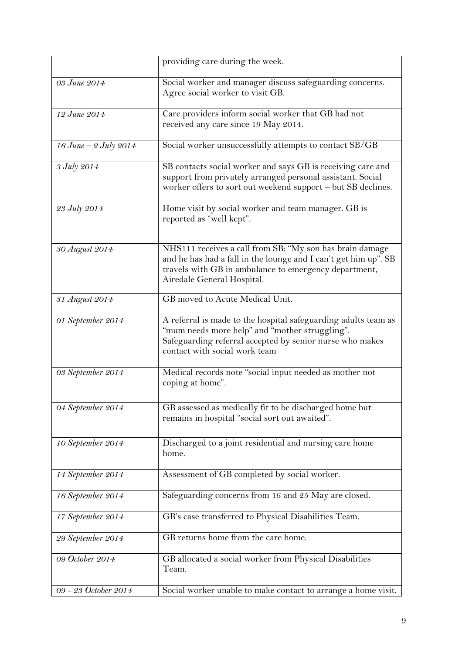|                       | providing care during the week.                                                                                                                                                                                    |
|-----------------------|--------------------------------------------------------------------------------------------------------------------------------------------------------------------------------------------------------------------|
| 03 June 2014          | Social worker and manager discuss safeguarding concerns.<br>Agree social worker to visit GB.                                                                                                                       |
| 12 June 2014          | Care providers inform social worker that GB had not<br>received any care since 19 May 2014.                                                                                                                        |
| 16 June - 2 July 2014 | Social worker unsuccessfully attempts to contact SB/GB                                                                                                                                                             |
| 3 July 2014           | SB contacts social worker and says GB is receiving care and<br>support from privately arranged personal assistant. Social<br>worker offers to sort out weekend support - but SB declines.                          |
| 23 July 2014          | Home visit by social worker and team manager. GB is<br>reported as "well kept".                                                                                                                                    |
| 30 August 2014        | NHS111 receives a call from SB: "My son has brain damage<br>and he has had a fall in the lounge and I can't get him up". SB<br>travels with GB in ambulance to emergency department,<br>Airedale General Hospital. |
| 31 August 2014        | GB moved to Acute Medical Unit.                                                                                                                                                                                    |
| 01 September 2014     | A referral is made to the hospital safeguarding adults team as<br>"mum needs more help" and "mother struggling".<br>Safeguarding referral accepted by senior nurse who makes<br>contact with social work team      |
| 03 September 2014     | Medical records note "social input needed as mother not<br>coping at home".                                                                                                                                        |
| 04 September 2014     | GB assessed as medically fit to be discharged home but<br>remains in hospital "social sort out awaited".                                                                                                           |
| 10 September 2014     | Discharged to a joint residential and nursing care home<br>home.                                                                                                                                                   |
| 14 September 2014     | Assessment of GB completed by social worker.                                                                                                                                                                       |
| 16 September 2014     | Safeguarding concerns from 16 and 25 May are closed.                                                                                                                                                               |
| 17 September 2014     | GB's case transferred to Physical Disabilities Team.                                                                                                                                                               |
| 29 September 2014     | GB returns home from the care home.                                                                                                                                                                                |
| 09 October 2014       | GB allocated a social worker from Physical Disabilities<br>Team.                                                                                                                                                   |
| 09 - 23 October 2014  | Social worker unable to make contact to arrange a home visit.                                                                                                                                                      |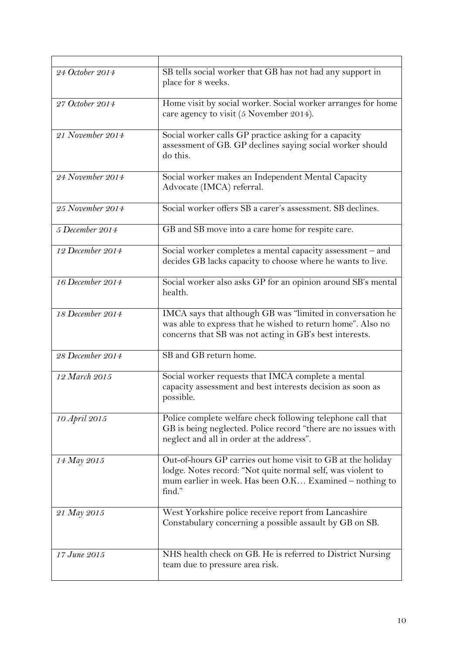| 24 October 2014  | SB tells social worker that GB has not had any support in<br>place for 8 weeks.                                                                                                                 |
|------------------|-------------------------------------------------------------------------------------------------------------------------------------------------------------------------------------------------|
| 27 October 2014  | Home visit by social worker. Social worker arranges for home<br>care agency to visit (5 November 2014).                                                                                         |
| 21 November 2014 | Social worker calls GP practice asking for a capacity<br>assessment of GB. GP declines saying social worker should<br>do this.                                                                  |
| 24 November 2014 | Social worker makes an Independent Mental Capacity<br>Advocate (IMCA) referral.                                                                                                                 |
| 25 November 2014 | Social worker offers SB a carer's assessment. SB declines.                                                                                                                                      |
| 5 December 2014  | GB and SB move into a care home for respite care.                                                                                                                                               |
| 12 December 2014 | Social worker completes a mental capacity assessment - and<br>decides GB lacks capacity to choose where he wants to live.                                                                       |
| 16 December 2014 | Social worker also asks GP for an opinion around SB's mental<br>health.                                                                                                                         |
| 18 December 2014 | IMCA says that although GB was "limited in conversation he<br>was able to express that he wished to return home". Also no<br>concerns that SB was not acting in GB's best interests.            |
| 28 December 2014 | SB and GB return home.                                                                                                                                                                          |
| 12 March 2015    | Social worker requests that IMCA complete a mental<br>capacity assessment and best interests decision as soon as<br>possible.                                                                   |
| 10 April 2015    | Police complete welfare check following telephone call that<br>GB is being neglected. Police record "there are no issues with<br>neglect and all in order at the address".                      |
| 14 May 2015      | Out-of-hours GP carries out home visit to GB at the holiday<br>lodge. Notes record: "Not quite normal self, was violent to<br>mum earlier in week. Has been O.K Examined - nothing to<br>find." |
| 21 May 2015      | West Yorkshire police receive report from Lancashire<br>Constabulary concerning a possible assault by GB on SB.                                                                                 |
| 17 June 2015     | NHS health check on GB. He is referred to District Nursing<br>team due to pressure area risk.                                                                                                   |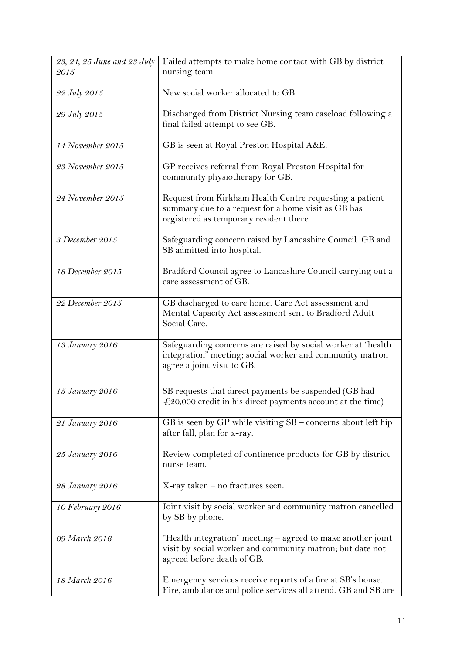| 23, 24, 25 June and 23 July<br>2015 | Failed attempts to make home contact with GB by district<br>nursing team                                                                                  |
|-------------------------------------|-----------------------------------------------------------------------------------------------------------------------------------------------------------|
|                                     |                                                                                                                                                           |
| 22 July 2015                        | New social worker allocated to GB.                                                                                                                        |
| 29 July 2015                        | Discharged from District Nursing team caseload following a<br>final failed attempt to see GB.                                                             |
| 14 November 2015                    | GB is seen at Royal Preston Hospital A&E.                                                                                                                 |
| 23 November 2015                    | GP receives referral from Royal Preston Hospital for<br>community physiotherapy for GB.                                                                   |
| 24 November 2015                    | Request from Kirkham Health Centre requesting a patient<br>summary due to a request for a home visit as GB has<br>registered as temporary resident there. |
| 3 December 2015                     | Safeguarding concern raised by Lancashire Council. GB and<br>SB admitted into hospital.                                                                   |
| 18 December 2015                    | Bradford Council agree to Lancashire Council carrying out a<br>care assessment of GB.                                                                     |
| 22 December 2015                    | GB discharged to care home. Care Act assessment and<br>Mental Capacity Act assessment sent to Bradford Adult<br>Social Care.                              |
| 13 January 2016                     | Safeguarding concerns are raised by social worker at "health<br>integration" meeting; social worker and community matron<br>agree a joint visit to GB.    |
| 15 January 2016                     | SB requests that direct payments be suspended (GB had<br>$\pounds$ 20,000 credit in his direct payments account at the time)                              |
| 21 January 2016                     | GB is seen by GP while visiting SB - concerns about left hip<br>after fall, plan for x-ray.                                                               |
| 25 January 2016                     | Review completed of continence products for GB by district<br>nurse team.                                                                                 |
| 28 January 2016                     | X-ray taken - no fractures seen.                                                                                                                          |
| 10 February 2016                    | Joint visit by social worker and community matron cancelled<br>by SB by phone.                                                                            |
| 09 March 2016                       | "Health integration" meeting - agreed to make another joint<br>visit by social worker and community matron; but date not<br>agreed before death of GB.    |
| 18 March 2016                       | Emergency services receive reports of a fire at SB's house.<br>Fire, ambulance and police services all attend. GB and SB are                              |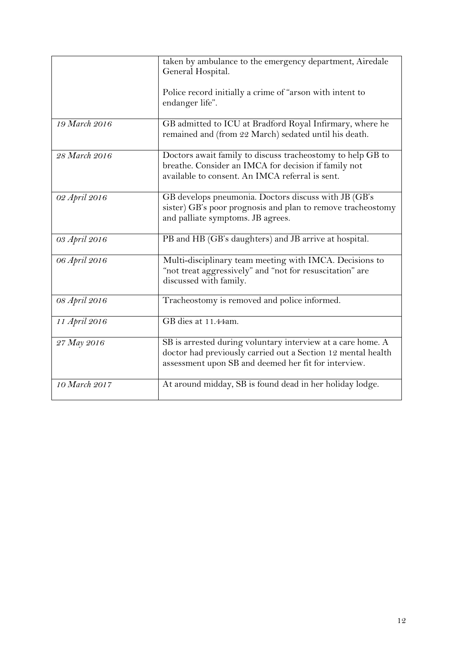|               | taken by ambulance to the emergency department, Airedale<br>General Hospital.<br>Police record initially a crime of "arson with intent to<br>endanger life".                        |
|---------------|-------------------------------------------------------------------------------------------------------------------------------------------------------------------------------------|
|               |                                                                                                                                                                                     |
| 19 March 2016 | GB admitted to ICU at Bradford Royal Infirmary, where he<br>remained and (from 22 March) sedated until his death.                                                                   |
| 28 March 2016 | Doctors await family to discuss tracheostomy to help GB to<br>breathe. Consider an IMCA for decision if family not<br>available to consent. An IMCA referral is sent.               |
| 02 April 2016 | GB develops pneumonia. Doctors discuss with JB (GB's<br>sister) GB's poor prognosis and plan to remove tracheostomy<br>and palliate symptoms. JB agrees.                            |
| 03 April 2016 | PB and HB (GB's daughters) and JB arrive at hospital.                                                                                                                               |
| 06 April 2016 | Multi-disciplinary team meeting with IMCA. Decisions to<br>"not treat aggressively" and "not for resuscitation" are<br>discussed with family.                                       |
| 08 April 2016 | Tracheostomy is removed and police informed.                                                                                                                                        |
| 11 April 2016 | GB dies at 11.44am.                                                                                                                                                                 |
| 27 May 2016   | SB is arrested during voluntary interview at a care home. A<br>doctor had previously carried out a Section 12 mental health<br>assessment upon SB and deemed her fit for interview. |
| 10 March 2017 | At around midday, SB is found dead in her holiday lodge.                                                                                                                            |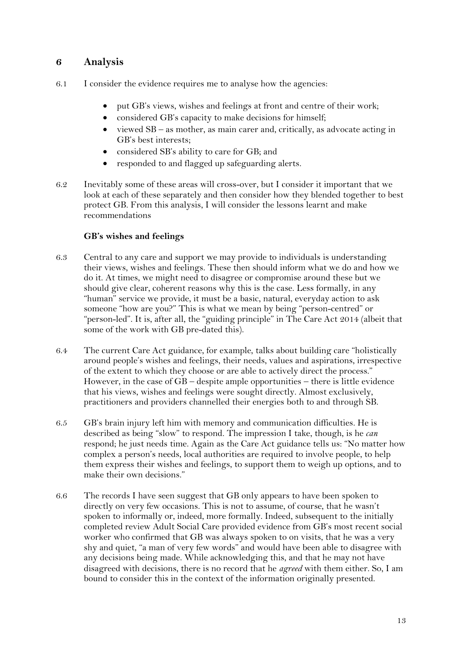#### **6 Analysis**

- 6.1 I consider the evidence requires me to analyse how the agencies:
	- put GB's views, wishes and feelings at front and centre of their work;
	- considered GB's capacity to make decisions for himself;
	- viewed SB as mother, as main carer and, critically, as advocate acting in GB's best interests;
	- considered SB's ability to care for GB; and
	- responded to and flagged up safeguarding alerts.
- 6.2 Inevitably some of these areas will cross-over, but I consider it important that we look at each of these separately and then consider how they blended together to best protect GB. From this analysis, I will consider the lessons learnt and make recommendations

#### **GB's wishes and feelings**

- 6.3 Central to any care and support we may provide to individuals is understanding their views, wishes and feelings. These then should inform what we do and how we do it. At times, we might need to disagree or compromise around these but we should give clear, coherent reasons why this is the case. Less formally, in any "human" service we provide, it must be a basic, natural, everyday action to ask someone "how are you?" This is what we mean by being "person-centred" or "person-led". It is, after all, the "guiding principle" in The Care Act 2014 (albeit that some of the work with GB pre-dated this).
- 6.4 The current Care Act guidance, for example, talks about building care "holistically around people's wishes and feelings, their needs, values and aspirations, irrespective of the extent to which they choose or are able to actively direct the process." However, in the case of  $GB -$  despite ample opportunities  $-$  there is little evidence that his views, wishes and feelings were sought directly. Almost exclusively, practitioners and providers channelled their energies both to and through SB.
- 6.5 GB's brain injury left him with memory and communication difficulties. He is described as being "slow" to respond. The impression I take, though, is he *can* respond; he just needs time. Again as the Care Act guidance tells us: "No matter how complex a person's needs, local authorities are required to involve people, to help them express their wishes and feelings, to support them to weigh up options, and to make their own decisions."
- 6.6 The records I have seen suggest that GB only appears to have been spoken to directly on very few occasions. This is not to assume, of course, that he wasn't spoken to informally or, indeed, more formally. Indeed, subsequent to the initially completed review Adult Social Care provided evidence from GB's most recent social worker who confirmed that GB was always spoken to on visits, that he was a very shy and quiet, "a man of very few words" and would have been able to disagree with any decisions being made. While acknowledging this, and that he may not have disagreed with decisions, there is no record that he *agreed* with them either. So, I am bound to consider this in the context of the information originally presented.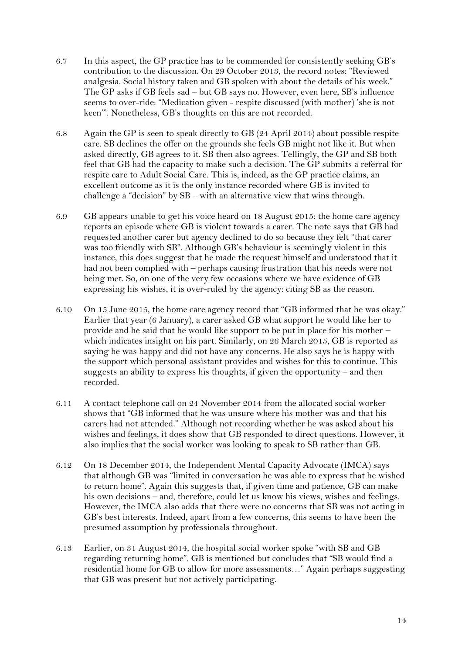- 6.7 In this aspect, the GP practice has to be commended for consistently seeking GB's contribution to the discussion. On 29 October 2013, the record notes: "Reviewed analgesia. Social history taken and GB spoken with about the details of his week." The GP asks if GB feels sad – but GB says no. However, even here, SB's influence seems to over-ride: "Medication given - respite discussed (with mother) 'she is not keen'". Nonetheless, GB's thoughts on this are not recorded.
- 6.8 Again the GP is seen to speak directly to GB (24 April 2014) about possible respite care. SB declines the offer on the grounds she feels GB might not like it. But when asked directly, GB agrees to it. SB then also agrees. Tellingly, the GP and SB both feel that GB had the capacity to make such a decision. The GP submits a referral for respite care to Adult Social Care. This is, indeed, as the GP practice claims, an excellent outcome as it is the only instance recorded where GB is invited to challenge a "decision" by SB – with an alternative view that wins through.
- 6.9 GB appears unable to get his voice heard on 18 August 2015: the home care agency reports an episode where GB is violent towards a carer. The note says that GB had requested another carer but agency declined to do so because they felt "that carer was too friendly with SB". Although GB's behaviour is seemingly violent in this instance, this does suggest that he made the request himself and understood that it had not been complied with – perhaps causing frustration that his needs were not being met. So, on one of the very few occasions where we have evidence of GB expressing his wishes, it is over-ruled by the agency: citing SB as the reason.
- 6.10 On 15 June 2015, the home care agency record that "GB informed that he was okay." Earlier that year (6 January), a carer asked GB what support he would like her to provide and he said that he would like support to be put in place for his mother *–* which indicates insight on his part. Similarly, on 26 March 2015, GB is reported as saying he was happy and did not have any concerns. He also says he is happy with the support which personal assistant provides and wishes for this to continue. This suggests an ability to express his thoughts, if given the opportunity – and then recorded.
- 6.11 A contact telephone call on 24 November 2014 from the allocated social worker shows that "GB informed that he was unsure where his mother was and that his carers had not attended." Although not recording whether he was asked about his wishes and feelings, it does show that GB responded to direct questions. However, it also implies that the social worker was looking to speak to SB rather than GB.
- 6.12 On 18 December 2014, the Independent Mental Capacity Advocate (IMCA) says that although GB was "limited in conversation he was able to express that he wished to return home". Again this suggests that, if given time and patience, GB can make his own decisions – and, therefore, could let us know his views, wishes and feelings. However, the IMCA also adds that there were no concerns that SB was not acting in GB's best interests. Indeed, apart from a few concerns, this seems to have been the presumed assumption by professionals throughout.
- 6.13 Earlier, on 31 August 2014, the hospital social worker spoke "with SB and GB regarding returning home". GB is mentioned but concludes that "SB would find a residential home for GB to allow for more assessments…" Again perhaps suggesting that GB was present but not actively participating.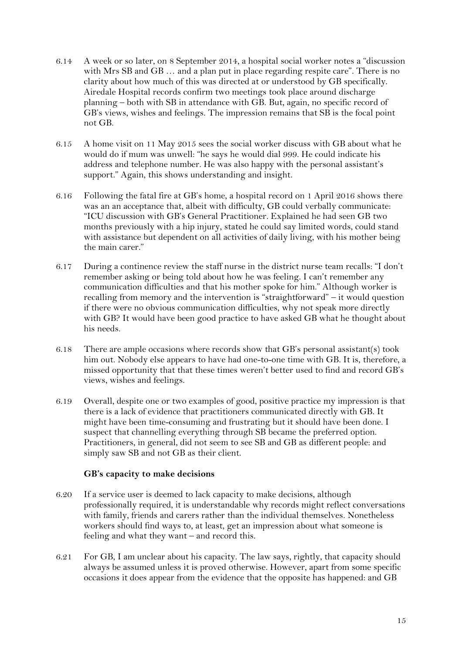- 6.14 A week or so later, on 8 September 2014, a hospital social worker notes a "discussion with Mrs SB and GB ... and a plan put in place regarding respite care". There is no clarity about how much of this was directed at or understood by GB specifically. Airedale Hospital records confirm two meetings took place around discharge planning – both with SB in attendance with GB. But, again, no specific record of GB's views, wishes and feelings. The impression remains that SB is the focal point not GB.
- 6.15 A home visit on 11 May 2015 sees the social worker discuss with GB about what he would do if mum was unwell: "he says he would dial 999. He could indicate his address and telephone number. He was also happy with the personal assistant's support." Again, this shows understanding and insight.
- 6.16 Following the fatal fire at GB's home, a hospital record on 1 April 2016 shows there was an an acceptance that, albeit with difficulty, GB could verbally communicate: "ICU discussion with GB's General Practitioner. Explained he had seen GB two months previously with a hip injury, stated he could say limited words, could stand with assistance but dependent on all activities of daily living, with his mother being the main carer."
- 6.17 During a continence review the staff nurse in the district nurse team recalls: "I don't remember asking or being told about how he was feeling. I can't remember any communication difficulties and that his mother spoke for him." Although worker is recalling from memory and the intervention is "straightforward" – it would question if there were no obvious communication difficulties, why not speak more directly with GB? It would have been good practice to have asked GB what he thought about his needs.
- 6.18 There are ample occasions where records show that GB's personal assistant(s) took him out. Nobody else appears to have had one-to-one time with GB. It is, therefore, a missed opportunity that that these times weren't better used to find and record GB's views, wishes and feelings.
- 6.19 Overall, despite one or two examples of good, positive practice my impression is that there is a lack of evidence that practitioners communicated directly with GB. It might have been time-consuming and frustrating but it should have been done. I suspect that channelling everything through SB became the preferred option. Practitioners, in general, did not seem to see SB and GB as different people: and simply saw SB and not GB as their client.

#### **GB's capacity to make decisions**

- 6.20 If a service user is deemed to lack capacity to make decisions, although professionally required, it is understandable why records might reflect conversations with family, friends and carers rather than the individual themselves. Nonetheless workers should find ways to, at least, get an impression about what someone is feeling and what they want – and record this.
- 6.21 For GB, I am unclear about his capacity. The law says, rightly, that capacity should always be assumed unless it is proved otherwise. However, apart from some specific occasions it does appear from the evidence that the opposite has happened: and GB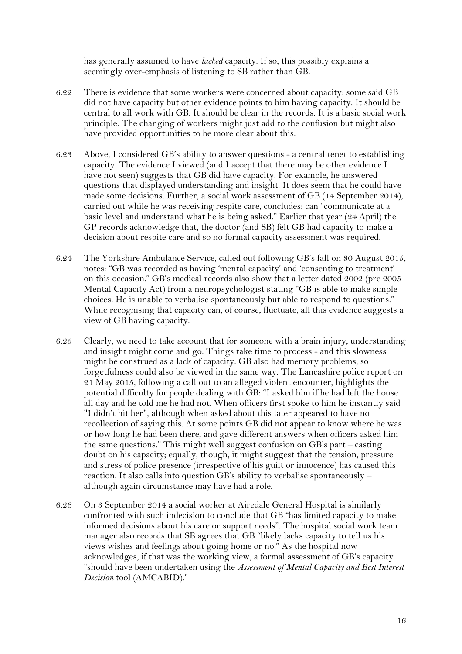has generally assumed to have *lacked* capacity. If so, this possibly explains a seemingly over-emphasis of listening to SB rather than GB.

- 6.22 There is evidence that some workers were concerned about capacity: some said GB did not have capacity but other evidence points to him having capacity. It should be central to all work with GB. It should be clear in the records. It is a basic social work principle. The changing of workers might just add to the confusion but might also have provided opportunities to be more clear about this.
- 6.23 Above, I considered GB's ability to answer questions a central tenet to establishing capacity. The evidence I viewed (and I accept that there may be other evidence I have not seen) suggests that GB did have capacity. For example, he answered questions that displayed understanding and insight. It does seem that he could have made some decisions. Further, a social work assessment of GB (14 September 2014), carried out while he was receiving respite care, concludes: can "communicate at a basic level and understand what he is being asked." Earlier that year (24 April) the GP records acknowledge that, the doctor (and SB) felt GB had capacity to make a decision about respite care and so no formal capacity assessment was required.
- 6.24 The Yorkshire Ambulance Service, called out following GB's fall on 30 August 2015, notes: "GB was recorded as having 'mental capacity' and 'consenting to treatment' on this occasion." GB's medical records also show that a letter dated 2002 (pre 2005 Mental Capacity Act) from a neuropsychologist stating "GB is able to make simple choices. He is unable to verbalise spontaneously but able to respond to questions." While recognising that capacity can, of course, fluctuate, all this evidence suggests a view of GB having capacity.
- 6.25 Clearly, we need to take account that for someone with a brain injury, understanding and insight might come and go. Things take time to process - and this slowness might be construed as a lack of capacity. GB also had memory problems, so forgetfulness could also be viewed in the same way. The Lancashire police report on 21 May 2015, following a call out to an alleged violent encounter, highlights the potential difficulty for people dealing with GB: "I asked him if he had left the house all day and he told me he had not. When officers first spoke to him he instantly said "I didn't hit her", although when asked about this later appeared to have no recollection of saying this. At some points GB did not appear to know where he was or how long he had been there, and gave different answers when officers asked him the same questions." This might well suggest confusion on GB's part – casting doubt on his capacity; equally, though, it might suggest that the tension, pressure and stress of police presence (irrespective of his guilt or innocence) has caused this reaction. It also calls into question GB's ability to verbalise spontaneously – although again circumstance may have had a role.
- 6.26 On 3 September 2014 a social worker at Airedale General Hospital is similarly confronted with such indecision to conclude that GB "has limited capacity to make informed decisions about his care or support needs". The hospital social work team manager also records that SB agrees that GB "likely lacks capacity to tell us his views wishes and feelings about going home or no." As the hospital now acknowledges, if that was the working view, a formal assessment of GB's capacity "should have been undertaken using the *Assessment of Mental Capacity and Best Interest Decision* tool (AMCABID)."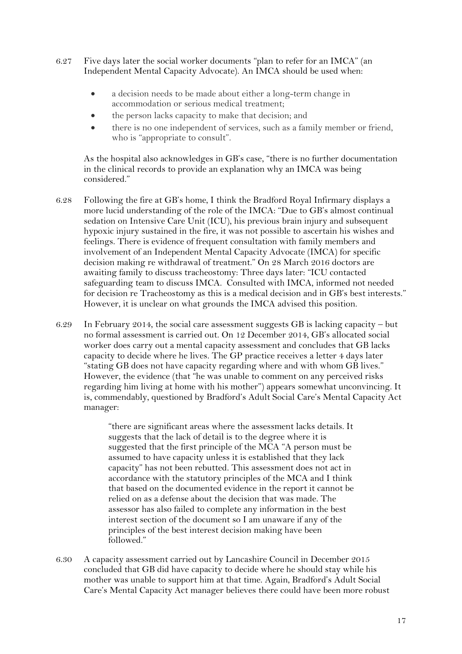- 6.27 Five days later the social worker documents "plan to refer for an IMCA" (an Independent Mental Capacity Advocate). An IMCA should be used when:
	- a decision needs to be made about either a long-term change in accommodation or serious medical treatment;
	- the person lacks capacity to make that decision; and
	- there is no one independent of services, such as a family member or friend, who is "appropriate to consult".

As the hospital also acknowledges in GB's case, "there is no further documentation in the clinical records to provide an explanation why an IMCA was being considered."

- 6.28 Following the fire at GB's home, I think the Bradford Royal Infirmary displays a more lucid understanding of the role of the IMCA: "Due to GB's almost continual sedation on Intensive Care Unit (ICU), his previous brain injury and subsequent hypoxic injury sustained in the fire, it was not possible to ascertain his wishes and feelings. There is evidence of frequent consultation with family members and involvement of an Independent Mental Capacity Advocate (IMCA) for specific decision making re withdrawal of treatment." On 28 March 2016 doctors are awaiting family to discuss tracheostomy: Three days later: "ICU contacted safeguarding team to discuss IMCA. Consulted with IMCA, informed not needed for decision re Tracheostomy as this is a medical decision and in GB's best interests." However, it is unclear on what grounds the IMCA advised this position.
- 6.29 In February 2014, the social care assessment suggests GB is lacking capacity but no formal assessment is carried out. On 12 December 2014, GB's allocated social worker does carry out a mental capacity assessment and concludes that GB lacks capacity to decide where he lives. The GP practice receives a letter 4 days later "stating GB does not have capacity regarding where and with whom GB lives." However, the evidence (that "he was unable to comment on any perceived risks regarding him living at home with his mother") appears somewhat unconvincing. It is, commendably, questioned by Bradford's Adult Social Care's Mental Capacity Act manager:

"there are significant areas where the assessment lacks details. It suggests that the lack of detail is to the degree where it is suggested that the first principle of the MCA "A person must be assumed to have capacity unless it is established that they lack capacity" has not been rebutted. This assessment does not act in accordance with the statutory principles of the MCA and I think that based on the documented evidence in the report it cannot be relied on as a defense about the decision that was made. The assessor has also failed to complete any information in the best interest section of the document so I am unaware if any of the principles of the best interest decision making have been followed."

6.30 A capacity assessment carried out by Lancashire Council in December 2015 concluded that GB did have capacity to decide where he should stay while his mother was unable to support him at that time. Again, Bradford's Adult Social Care's Mental Capacity Act manager believes there could have been more robust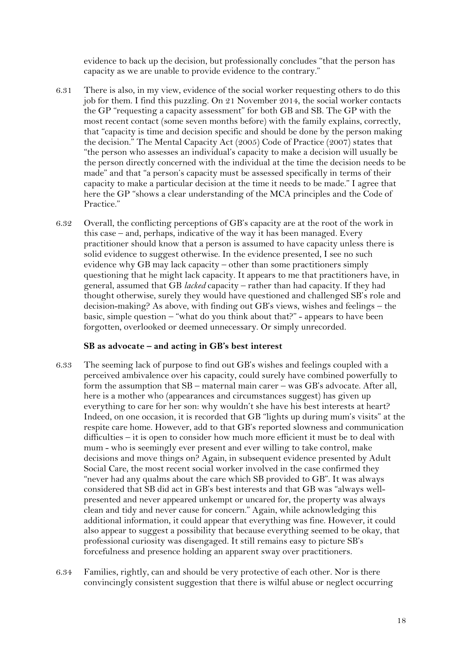evidence to back up the decision, but professionally concludes "that the person has capacity as we are unable to provide evidence to the contrary."

- 6.31 There is also, in my view, evidence of the social worker requesting others to do this job for them. I find this puzzling. On 21 November 2014, the social worker contacts the GP "requesting a capacity assessment" for both GB and SB. The GP with the most recent contact (some seven months before) with the family explains, correctly, that "capacity is time and decision specific and should be done by the person making the decision." The Mental Capacity Act (2005) Code of Practice (2007) states that "the person who assesses an individual's capacity to make a decision will usually be the person directly concerned with the individual at the time the decision needs to be made" and that "a person's capacity must be assessed specifically in terms of their capacity to make a particular decision at the time it needs to be made." I agree that here the GP "shows a clear understanding of the MCA principles and the Code of Practice."
- 6.32 Overall, the conflicting perceptions of GB's capacity are at the root of the work in this case – and, perhaps, indicative of the way it has been managed. Every practitioner should know that a person is assumed to have capacity unless there is solid evidence to suggest otherwise. In the evidence presented, I see no such evidence why GB may lack capacity – other than some practitioners simply questioning that he might lack capacity. It appears to me that practitioners have, in general, assumed that GB *lacked* capacity – rather than had capacity. If they had thought otherwise, surely they would have questioned and challenged SB's role and decision-making? As above, with finding out GB's views, wishes and feelings – the basic, simple question – "what do you think about that?" - appears to have been forgotten, overlooked or deemed unnecessary. Or simply unrecorded.

#### **SB as advocate – and acting in GB's best interest**

- 6.33 The seeming lack of purpose to find out GB's wishes and feelings coupled with a perceived ambivalence over his capacity, could surely have combined powerfully to form the assumption that SB – maternal main carer – was GB's advocate. After all, here is a mother who (appearances and circumstances suggest) has given up everything to care for her son: why wouldn't she have his best interests at heart? Indeed, on one occasion, it is recorded that GB "lights up during mum's visits" at the respite care home. However, add to that GB's reported slowness and communication difficulties – it is open to consider how much more efficient it must be to deal with mum - who is seemingly ever present and ever willing to take control, make decisions and move things on? Again, in subsequent evidence presented by Adult Social Care, the most recent social worker involved in the case confirmed they "never had any qualms about the care which SB provided to GB". It was always considered that SB did act in GB's best interests and that GB was "always wellpresented and never appeared unkempt or uncared for, the property was always clean and tidy and never cause for concern." Again, while acknowledging this additional information, it could appear that everything was fine. However, it could also appear to suggest a possibility that because everything seemed to be okay, that professional curiosity was disengaged. It still remains easy to picture SB's forcefulness and presence holding an apparent sway over practitioners.
- 6.34 Families, rightly, can and should be very protective of each other. Nor is there convincingly consistent suggestion that there is wilful abuse or neglect occurring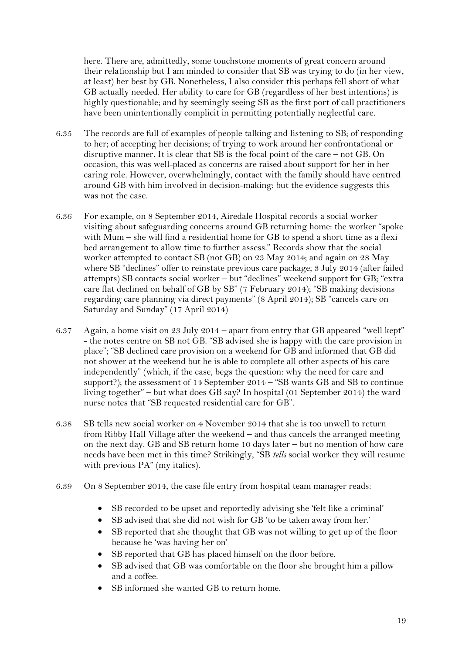here. There are, admittedly, some touchstone moments of great concern around their relationship but I am minded to consider that SB was trying to do (in her view, at least) her best by GB. Nonetheless, I also consider this perhaps fell short of what GB actually needed. Her ability to care for GB (regardless of her best intentions) is highly questionable; and by seemingly seeing SB as the first port of call practitioners have been unintentionally complicit in permitting potentially neglectful care.

- 6.35 The records are full of examples of people talking and listening to SB; of responding to her; of accepting her decisions; of trying to work around her confrontational or disruptive manner. It is clear that SB is the focal point of the care – not GB. On occasion, this was well-placed as concerns are raised about support for her in her caring role. However, overwhelmingly, contact with the family should have centred around GB with him involved in decision-making: but the evidence suggests this was not the case.
- 6.36 For example, on 8 September 2014, Airedale Hospital records a social worker visiting about safeguarding concerns around GB returning home: the worker "spoke with Mum – she will find a residential home for GB to spend a short time as a flexi bed arrangement to allow time to further assess." Records show that the social worker attempted to contact SB (not GB) on 23 May 2014; and again on 28 May where SB "declines" offer to reinstate previous care package; 3 July 2014 (after failed attempts) SB contacts social worker – but "declines" weekend support for GB; "extra care flat declined on behalf of GB by SB" (7 February 2014); "SB making decisions regarding care planning via direct payments" (8 April 2014); SB "cancels care on Saturday and Sunday" (17 April 2014)
- 6.37 Again, a home visit on 23 July 2014 apart from entry that GB appeared "well kept" - the notes centre on SB not GB. "SB advised she is happy with the care provision in place"; "SB declined care provision on a weekend for GB and informed that GB did not shower at the weekend but he is able to complete all other aspects of his care independently" (which, if the case, begs the question: why the need for care and support?); the assessment of 14 September 2014 – "SB wants GB and SB to continue living together" – but what does GB say? In hospital (01 September 2014) the ward nurse notes that "SB requested residential care for GB".
- 6.38 SB tells new social worker on 4 November 2014 that she is too unwell to return from Ribby Hall Village after the weekend – and thus cancels the arranged meeting on the next day. GB and SB return home 10 days later – but no mention of how care needs have been met in this time? Strikingly, "SB *tells* social worker they will resume with previous PA" (my italics).
- 6.39 On 8 September 2014, the case file entry from hospital team manager reads:
	- SB recorded to be upset and reportedly advising she 'felt like a criminal'
	- SB advised that she did not wish for GB 'to be taken away from her.'
	- SB reported that she thought that GB was not willing to get up of the floor because he 'was having her on'
	- SB reported that GB has placed himself on the floor before.
	- SB advised that GB was comfortable on the floor she brought him a pillow and a coffee.
	- SB informed she wanted GB to return home.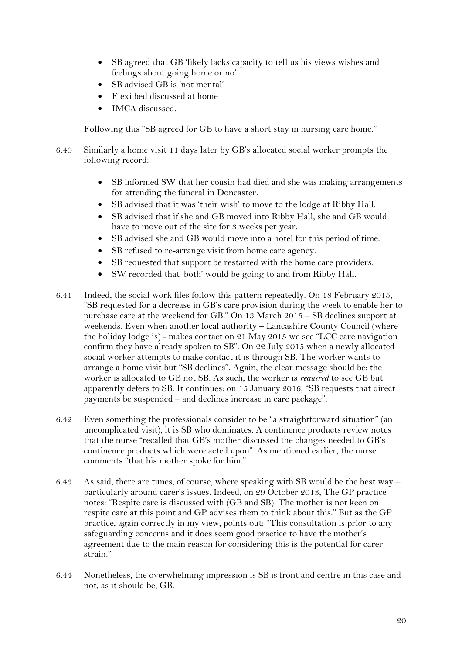- SB agreed that GB 'likely lacks capacity to tell us his views wishes and feelings about going home or no'
- SB advised GB is 'not mental'
- Flexi bed discussed at home
- IMCA discussed.

Following this "SB agreed for GB to have a short stay in nursing care home."

- 6.40 Similarly a home visit 11 days later by GB's allocated social worker prompts the following record:
	- SB informed SW that her cousin had died and she was making arrangements for attending the funeral in Doncaster.
	- SB advised that it was 'their wish' to move to the lodge at Ribby Hall.
	- SB advised that if she and GB moved into Ribby Hall, she and GB would have to move out of the site for 3 weeks per year.
	- SB advised she and GB would move into a hotel for this period of time.
	- SB refused to re-arrange visit from home care agency.
	- SB requested that support be restarted with the home care providers.
	- SW recorded that 'both' would be going to and from Ribby Hall.
- 6.41 Indeed, the social work files follow this pattern repeatedly. On 18 February 2015, "SB requested for a decrease in GB's care provision during the week to enable her to purchase care at the weekend for GB." On 13 March 2015 – SB declines support at weekends. Even when another local authority – Lancashire County Council (where the holiday lodge is) - makes contact on 21 May 2015 we see "LCC care navigation confirm they have already spoken to SB". On 22 July 2015 when a newly allocated social worker attempts to make contact it is through SB. The worker wants to arrange a home visit but "SB declines". Again, the clear message should be: the worker is allocated to GB not SB. As such, the worker is *required* to see GB but apparently defers to SB. It continues: on 15 January 2016, "SB requests that direct payments be suspended – and declines increase in care package".
- 6.42 Even something the professionals consider to be "a straightforward situation" (an uncomplicated visit), it is SB who dominates. A continence products review notes that the nurse "recalled that GB's mother discussed the changes needed to GB's continence products which were acted upon". As mentioned earlier, the nurse comments "that his mother spoke for him."
- 6.43 As said, there are times, of course, where speaking with SB would be the best way particularly around carer's issues. Indeed, on 29 October 2013, The GP practice notes: "Respite care is discussed with (GB and SB). The mother is not keen on respite care at this point and GP advises them to think about this." But as the GP practice, again correctly in my view, points out: "This consultation is prior to any safeguarding concerns and it does seem good practice to have the mother's agreement due to the main reason for considering this is the potential for carer strain."
- 6.44 Nonetheless, the overwhelming impression is SB is front and centre in this case and not, as it should be, GB.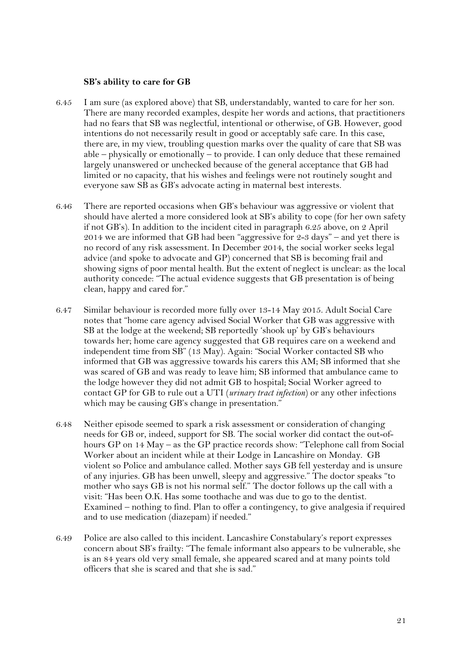#### **SB's ability to care for GB**

- 6.45 I am sure (as explored above) that SB, understandably, wanted to care for her son. There are many recorded examples, despite her words and actions, that practitioners had no fears that SB was neglectful, intentional or otherwise, of GB. However, good intentions do not necessarily result in good or acceptably safe care. In this case, there are, in my view, troubling question marks over the quality of care that SB was able – physically or emotionally – to provide. I can only deduce that these remained largely unanswered or unchecked because of the general acceptance that GB had limited or no capacity, that his wishes and feelings were not routinely sought and everyone saw SB as GB's advocate acting in maternal best interests.
- 6.46 There are reported occasions when GB's behaviour was aggressive or violent that should have alerted a more considered look at SB's ability to cope (for her own safety if not GB's). In addition to the incident cited in paragraph 6.25 above, on 2 April 2014 we are informed that GB had been "aggressive for 2-3 days" – and yet there is no record of any risk assessment. In December 2014, the social worker seeks legal advice (and spoke to advocate and GP) concerned that SB is becoming frail and showing signs of poor mental health. But the extent of neglect is unclear: as the local authority concede: "The actual evidence suggests that GB presentation is of being clean, happy and cared for."
- 6.47 Similar behaviour is recorded more fully over 13-14 May 2015. Adult Social Care notes that "home care agency advised Social Worker that GB was aggressive with SB at the lodge at the weekend; SB reportedly 'shook up' by GB's behaviours towards her; home care agency suggested that GB requires care on a weekend and independent time from SB" (13 May). Again: "Social Worker contacted SB who informed that GB was aggressive towards his carers this AM; SB informed that she was scared of GB and was ready to leave him; SB informed that ambulance came to the lodge however they did not admit GB to hospital; Social Worker agreed to contact GP for GB to rule out a UTI (*urinary tract infection*) or any other infections which may be causing GB's change in presentation."
- 6.48 Neither episode seemed to spark a risk assessment or consideration of changing needs for GB or, indeed, support for SB. The social worker did contact the out-ofhours GP on 14 May – as the GP practice records show: "Telephone call from Social Worker about an incident while at their Lodge in Lancashire on Monday. GB violent so Police and ambulance called. Mother says GB fell yesterday and is unsure of any injuries. GB has been unwell, sleepy and aggressive." The doctor speaks "to mother who says GB is not his normal self." The doctor follows up the call with a visit: "Has been O.K. Has some toothache and was due to go to the dentist. Examined – nothing to find. Plan to offer a contingency, to give analgesia if required and to use medication (diazepam) if needed."
- 6.49 Police are also called to this incident. Lancashire Constabulary's report expresses concern about SB's frailty: "The female informant also appears to be vulnerable, she is an 84 years old very small female, she appeared scared and at many points told officers that she is scared and that she is sad."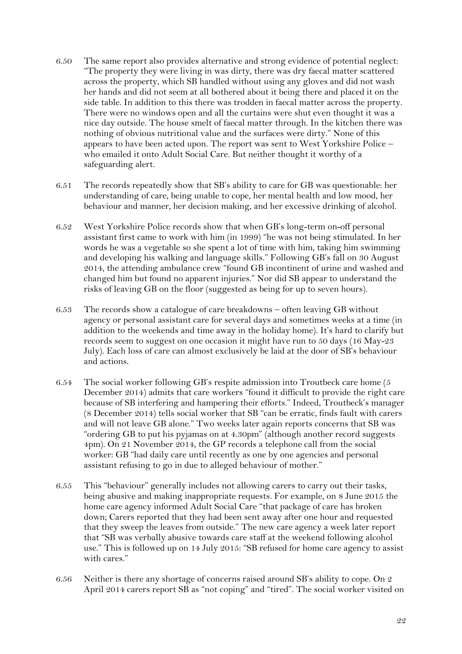- 6.50 The same report also provides alternative and strong evidence of potential neglect: "The property they were living in was dirty, there was dry faecal matter scattered across the property, which SB handled without using any gloves and did not wash her hands and did not seem at all bothered about it being there and placed it on the side table. In addition to this there was trodden in faecal matter across the property. There were no windows open and all the curtains were shut even thought it was a nice day outside. The house smelt of faecal matter through. In the kitchen there was nothing of obvious nutritional value and the surfaces were dirty." None of this appears to have been acted upon. The report was sent to West Yorkshire Police – who emailed it onto Adult Social Care. But neither thought it worthy of a safeguarding alert.
- 6.51 The records repeatedly show that SB's ability to care for GB was questionable: her understanding of care, being unable to cope, her mental health and low mood, her behaviour and manner, her decision making, and her excessive drinking of alcohol.
- 6.52 West Yorkshire Police records show that when GB's long-term on-off personal assistant first came to work with him (in 1999) "he was not being stimulated. In her words he was a vegetable so she spent a lot of time with him, taking him swimming and developing his walking and language skills." Following GB's fall on 30 August 2014, the attending ambulance crew "found GB incontinent of urine and washed and changed him but found no apparent injuries." Nor did SB appear to understand the risks of leaving GB on the floor (suggested as being for up to seven hours).
- 6.53 The records show a catalogue of care breakdowns often leaving GB without agency or personal assistant care for several days and sometimes weeks at a time (in addition to the weekends and time away in the holiday home). It's hard to clarify but records seem to suggest on one occasion it might have run to 50 days (16 May-23 July). Each loss of care can almost exclusively be laid at the door of SB's behaviour and actions.
- 6.54 The social worker following GB's respite admission into Troutbeck care home (5 December 2014) admits that care workers "found it difficult to provide the right care because of SB interfering and hampering their efforts." Indeed, Troutbeck's manager (8 December 2014) tells social worker that SB "can be erratic, finds fault with carers and will not leave GB alone." Two weeks later again reports concerns that SB was "ordering GB to put his pyjamas on at 4.30pm" (although another record suggests 4pm). On 21 November 2014, the GP records a telephone call from the social worker: GB "had daily care until recently as one by one agencies and personal assistant refusing to go in due to alleged behaviour of mother."
- 6.55 This "behaviour" generally includes not allowing carers to carry out their tasks, being abusive and making inappropriate requests. For example, on 8 June 2015 the home care agency informed Adult Social Care "that package of care has broken down; Carers reported that they had been sent away after one hour and requested that they sweep the leaves from outside." The new care agency a week later report that "SB was verbally abusive towards care staff at the weekend following alcohol use." This is followed up on 14 July 2015: "SB refused for home care agency to assist with cares."
- 6.56 Neither is there any shortage of concerns raised around SB's ability to cope. On 2 April 2014 carers report SB as "not coping" and "tired". The social worker visited on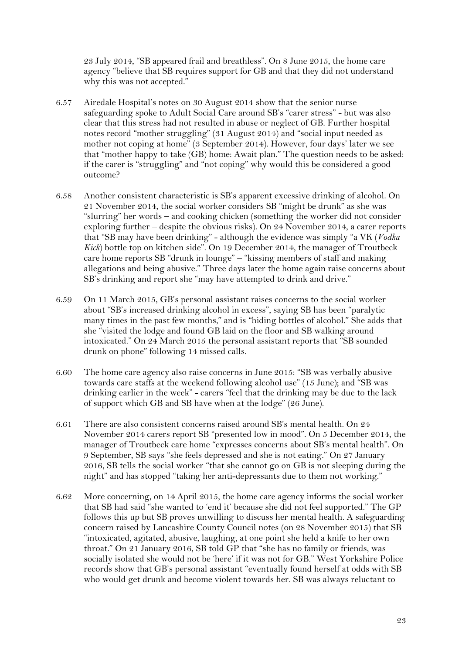23 July 2014, "SB appeared frail and breathless". On 8 June 2015, the home care agency "believe that SB requires support for GB and that they did not understand why this was not accepted."

- 6.57 Airedale Hospital's notes on 30 August 2014 show that the senior nurse safeguarding spoke to Adult Social Care around SB's "carer stress" - but was also clear that this stress had not resulted in abuse or neglect of GB. Further hospital notes record "mother struggling" (31 August 2014) and "social input needed as mother not coping at home" (3 September 2014). However, four days' later we see that "mother happy to take (GB) home: Await plan." The question needs to be asked: if the carer is "struggling" and "not coping" why would this be considered a good outcome?
- 6.58 Another consistent characteristic is SB's apparent excessive drinking of alcohol. On 21 November 2014, the social worker considers SB "might be drunk" as she was "slurring" her words – and cooking chicken (something the worker did not consider exploring further – despite the obvious risks). On 24 November 2014, a carer reports that "SB may have been drinking" - although the evidence was simply "a VK (*Vodka Kick*) bottle top on kitchen side". On 19 December 2014, the manager of Troutbeck care home reports SB "drunk in lounge" – "kissing members of staff and making allegations and being abusive." Three days later the home again raise concerns about SB's drinking and report she "may have attempted to drink and drive."
- 6.59 On 11 March 2015, GB's personal assistant raises concerns to the social worker about "SB's increased drinking alcohol in excess", saying SB has been "paralytic many times in the past few months," and is "hiding bottles of alcohol." She adds that she "visited the lodge and found GB laid on the floor and SB walking around intoxicated." On 24 March 2015 the personal assistant reports that "SB sounded drunk on phone" following 14 missed calls.
- 6.60 The home care agency also raise concerns in June 2015: "SB was verbally abusive towards care staffs at the weekend following alcohol use" (15 June); and "SB was drinking earlier in the week" - carers "feel that the drinking may be due to the lack of support which GB and SB have when at the lodge" (26 June).
- 6.61 There are also consistent concerns raised around SB's mental health. On 24 November 2014 carers report SB "presented low in mood". On 5 December 2014, the manager of Troutbeck care home "expresses concerns about SB's mental health". On 9 September, SB says "she feels depressed and she is not eating." On 27 January 2016, SB tells the social worker "that she cannot go on GB is not sleeping during the night" and has stopped "taking her anti-depressants due to them not working."
- 6.62 More concerning, on 14 April 2015, the home care agency informs the social worker that SB had said "she wanted to 'end it' because she did not feel supported." The GP follows this up but SB proves unwilling to discuss her mental health. A safeguarding concern raised by Lancashire County Council notes (on 28 November 2015) that SB "intoxicated, agitated, abusive, laughing, at one point she held a knife to her own throat." On 21 January 2016, SB told GP that "she has no family or friends, was socially isolated she would not be 'here' if it was not for GB." West Yorkshire Police records show that GB's personal assistant "eventually found herself at odds with SB who would get drunk and become violent towards her. SB was always reluctant to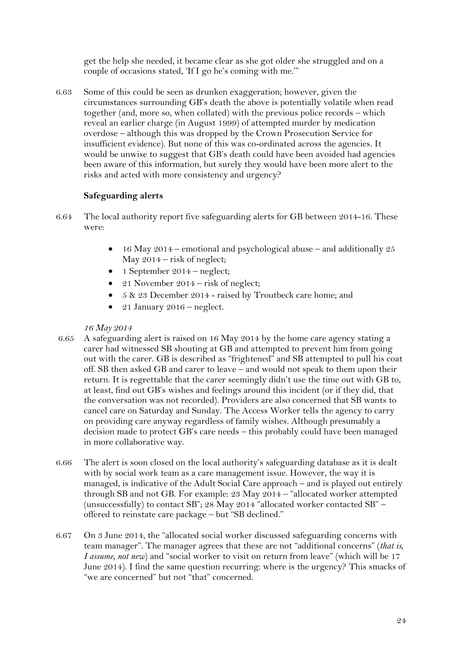get the help she needed, it became clear as she got older she struggled and on a couple of occasions stated, 'If I go he's coming with me.'"

6.63 Some of this could be seen as drunken exaggeration; however, given the circumstances surrounding GB's death the above is potentially volatile when read together (and, more so, when collated) with the previous police records – which reveal an earlier charge (in August 1999) of attempted murder by medication overdose – although this was dropped by the Crown Prosecution Service for insufficient evidence). But none of this was co-ordinated across the agencies. It would be unwise to suggest that GB's death could have been avoided had agencies been aware of this information, but surely they would have been more alert to the risks and acted with more consistency and urgency?

#### **Safeguarding alerts**

- 6.64 The local authority report five safeguarding alerts for GB between 2014-16. These were:
	- $\bullet$  16 May 2014 emotional and psychological abuse and additionally 25 May 2014 – risk of neglect;
	- $\bullet$  1 September 2014 neglect;
	- 21 November 2014 risk of neglect;
	- 5 & 23 December 2014 raised by Troutbeck care home; and
	- $\bullet$  21 January 2016 neglect.

#### *16 May 2014*

- 6.65 A safeguarding alert is raised on 16 May 2014 by the home care agency stating a carer had witnessed SB shouting at GB and attempted to prevent him from going out with the carer. GB is described as "frightened" and SB attempted to pull his coat off. SB then asked GB and carer to leave – and would not speak to them upon their return. It is regrettable that the carer seemingly didn't use the time out with GB to, at least, find out GB's wishes and feelings around this incident (or if they did, that the conversation was not recorded). Providers are also concerned that SB wants to cancel care on Saturday and Sunday. The Access Worker tells the agency to carry on providing care anyway regardless of family wishes. Although presumably a decision made to protect GB's care needs – this probably could have been managed in more collaborative way.
- 6.66 The alert is soon closed on the local authority's safeguarding database as it is dealt with by social work team as a care management issue. However, the way it is managed, is indicative of the Adult Social Care approach – and is played out entirely through SB and not GB. For example: 23 May 2014 – "allocated worker attempted (unsuccessfully) to contact SB"; 28 May 2014 "allocated worker contacted SB" – offered to reinstate care package – but "SB declined."
- 6.67 On 3 June 2014, the "allocated social worker discussed safeguarding concerns with team manager". The manager agrees that these are not "additional concerns" (*that is, I assume, not new*) and "social worker to visit on return from leave" (which will be 17 June 2014). I find the same question recurring: where is the urgency? This smacks of "we are concerned" but not "that" concerned.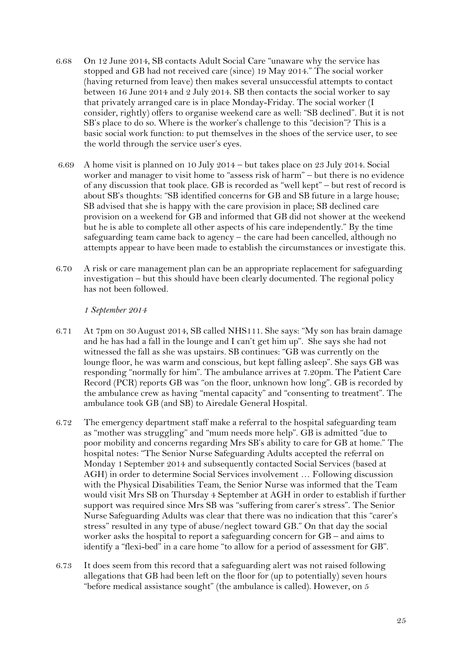- 6.68 On 12 June 2014, SB contacts Adult Social Care "unaware why the service has stopped and GB had not received care (since) 19 May 2014." The social worker (having returned from leave) then makes several unsuccessful attempts to contact between 16 June 2014 and 2 July 2014. SB then contacts the social worker to say that privately arranged care is in place Monday-Friday. The social worker (I consider, rightly) offers to organise weekend care as well: "SB declined". But it is not SB's place to do so. Where is the worker's challenge to this "decision"? This is a basic social work function: to put themselves in the shoes of the service user, to see the world through the service user's eyes.
- 6.69 A home visit is planned on 10 July 2014 but takes place on 23 July 2014. Social worker and manager to visit home to "assess risk of harm" – but there is no evidence of any discussion that took place. GB is recorded as "well kept" – but rest of record is about SB's thoughts: "SB identified concerns for GB and SB future in a large house; SB advised that she is happy with the care provision in place; SB declined care provision on a weekend for GB and informed that GB did not shower at the weekend but he is able to complete all other aspects of his care independently." By the time safeguarding team came back to agency – the care had been cancelled, although no attempts appear to have been made to establish the circumstances or investigate this.
- 6.70 A risk or care management plan can be an appropriate replacement for safeguarding investigation – but this should have been clearly documented. The regional policy has not been followed.

#### *1 September 2014*

- 6.71 At 7pm on 30August 2014, SB called NHS111. She says: "My son has brain damage and he has had a fall in the lounge and I can't get him up". She says she had not witnessed the fall as she was upstairs. SB continues: "GB was currently on the lounge floor, he was warm and conscious, but kept falling asleep". She says GB was responding "normally for him". The ambulance arrives at 7.20pm. The Patient Care Record (PCR) reports GB was "on the floor, unknown how long". GB is recorded by the ambulance crew as having "mental capacity" and "consenting to treatment". The ambulance took GB (and SB) to Airedale General Hospital.
- 6.72 The emergency department staff make a referral to the hospital safeguarding team as "mother was struggling" and "mum needs more help". GB is admitted "due to poor mobility and concerns regarding Mrs SB's ability to care for GB at home." The hospital notes: "The Senior Nurse Safeguarding Adults accepted the referral on Monday 1 September 2014 and subsequently contacted Social Services (based at AGH) in order to determine Social Services involvement … Following discussion with the Physical Disabilities Team, the Senior Nurse was informed that the Team would visit Mrs SB on Thursday 4 September at AGH in order to establish if further support was required since Mrs SB was "suffering from carer's stress". The Senior Nurse Safeguarding Adults was clear that there was no indication that this "carer's stress" resulted in any type of abuse/neglect toward GB." On that day the social worker asks the hospital to report a safeguarding concern for GB – and aims to identify a "flexi-bed" in a care home "to allow for a period of assessment for GB".
- 6.73 It does seem from this record that a safeguarding alert was not raised following allegations that GB had been left on the floor for (up to potentially) seven hours "before medical assistance sought" (the ambulance is called). However, on 5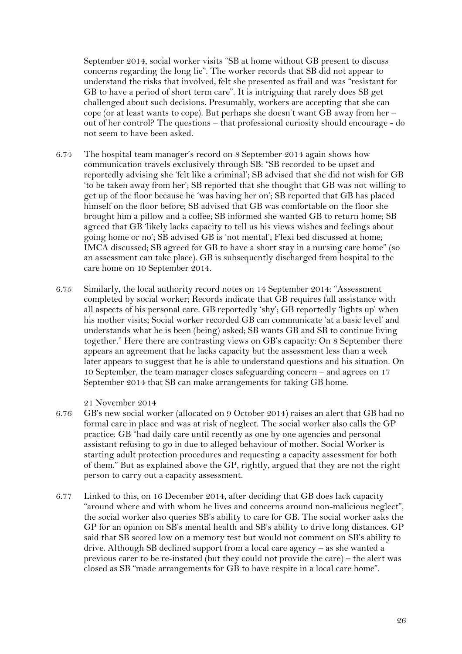September 2014, social worker visits "SB at home without GB present to discuss concerns regarding the long lie". The worker records that SB did not appear to understand the risks that involved, felt she presented as frail and was "resistant for GB to have a period of short term care". It is intriguing that rarely does SB get challenged about such decisions. Presumably, workers are accepting that she can cope (or at least wants to cope). But perhaps she doesn't want GB away from her – out of her control? The questions – that professional curiosity should encourage - do not seem to have been asked.

- 6.74 The hospital team manager's record on 8 September 2014 again shows how communication travels exclusively through SB: "SB recorded to be upset and reportedly advising she 'felt like a criminal'; SB advised that she did not wish for GB 'to be taken away from her'; SB reported that she thought that GB was not willing to get up of the floor because he 'was having her on'; SB reported that GB has placed himself on the floor before; SB advised that GB was comfortable on the floor she brought him a pillow and a coffee; SB informed she wanted GB to return home; SB agreed that GB 'likely lacks capacity to tell us his views wishes and feelings about going home or no'; SB advised GB is 'not mental'; Flexi bed discussed at home; IMCA discussed; SB agreed for GB to have a short stay in a nursing care home" (so an assessment can take place). GB is subsequently discharged from hospital to the care home on 10 September 2014.
- 6.75 Similarly, the local authority record notes on 14 September 2014: "Assessment completed by social worker; Records indicate that GB requires full assistance with all aspects of his personal care. GB reportedly 'shy'; GB reportedly 'lights up' when his mother visits; Social worker recorded GB can communicate 'at a basic level' and understands what he is been (being) asked; SB wants GB and SB to continue living together." Here there are contrasting views on GB's capacity: On 8 September there appears an agreement that he lacks capacity but the assessment less than a week later appears to suggest that he is able to understand questions and his situation. On 10 September, the team manager closes safeguarding concern – and agrees on 17 September 2014 that SB can make arrangements for taking GB home.

21 November 2014

- 6.76 GB's new social worker (allocated on 9 October 2014) raises an alert that GB had no formal care in place and was at risk of neglect. The social worker also calls the GP practice: GB "had daily care until recently as one by one agencies and personal assistant refusing to go in due to alleged behaviour of mother. Social Worker is starting adult protection procedures and requesting a capacity assessment for both of them." But as explained above the GP, rightly, argued that they are not the right person to carry out a capacity assessment.
- 6.77 Linked to this, on 16 December 2014, after deciding that GB does lack capacity "around where and with whom he lives and concerns around non-malicious neglect", the social worker also queries SB's ability to care for GB. The social worker asks the GP for an opinion on SB's mental health and SB's ability to drive long distances. GP said that SB scored low on a memory test but would not comment on SB's ability to drive. Although SB declined support from a local care agency – as she wanted a previous carer to be re-instated (but they could not provide the care) – the alert was closed as SB "made arrangements for GB to have respite in a local care home".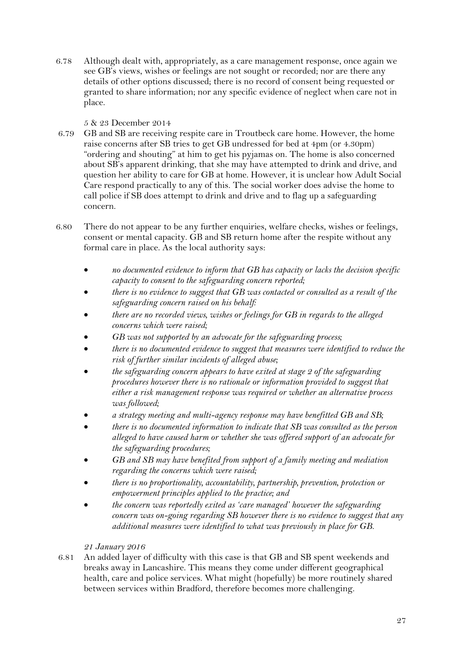6.78 Although dealt with, appropriately, as a care management response, once again we see GB's views, wishes or feelings are not sought or recorded; nor are there any details of other options discussed; there is no record of consent being requested or granted to share information; nor any specific evidence of neglect when care not in place.

#### 5 & 23 December 2014

- 6.79 GB and SB are receiving respite care in Troutbeck care home. However, the home raise concerns after SB tries to get GB undressed for bed at 4pm (or 4.30pm) "ordering and shouting" at him to get his pyjamas on. The home is also concerned about SB's apparent drinking, that she may have attempted to drink and drive, and question her ability to care for GB at home. However, it is unclear how Adult Social Care respond practically to any of this. The social worker does advise the home to call police if SB does attempt to drink and drive and to flag up a safeguarding concern.
- 6.80 There do not appear to be any further enquiries, welfare checks, wishes or feelings, consent or mental capacity. GB and SB return home after the respite without any formal care in place. As the local authority says:
	- *no documented evidence to inform that GB has capacity or lacks the decision specific capacity to consent to the safeguarding concern reported;*
	- *there is no evidence to suggest that GB was contacted or consulted as a result of the safeguarding concern raised on his behalf:*
	- *there are no recorded views, wishes or feelings for GB in regards to the alleged concerns which were raised;*
	- *GB was not supported by an advocate for the safeguarding process;*
	- *there is no documented evidence to suggest that measures were identified to reduce the risk of further similar incidents of alleged abuse;*
	- *the safeguarding concern appears to have exited at stage 2 of the safeguarding procedures however there is no rationale or information provided to suggest that either a risk management response was required or whether an alternative process was followed;*
	- *a strategy meeting and multi-agency response may have benefitted GB and SB;*
	- *there is no documented information to indicate that SB was consulted as the person alleged to have caused harm or whether she was offered support of an advocate for the safeguarding procedures;*
	- *GB and SB may have benefited from support of a family meeting and mediation regarding the concerns which were raised;*
	- *there is no proportionality, accountability, partnership, prevention, protection or empowerment principles applied to the practice; and*
	- *the concern was reportedly exited as 'care managed' however the safeguarding concern was on-going regarding SB however there is no evidence to suggest that any additional measures were identified to what was previously in place for GB.*

#### *21 January 2016*

6.81 An added layer of difficulty with this case is that GB and SB spent weekends and breaks away in Lancashire. This means they come under different geographical health, care and police services. What might (hopefully) be more routinely shared between services within Bradford, therefore becomes more challenging.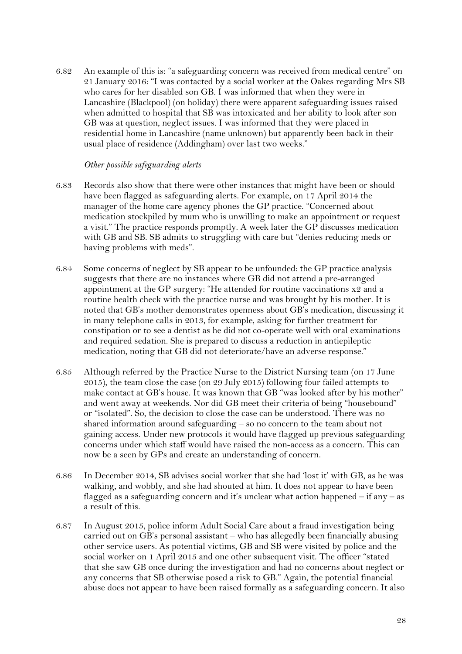6.82 An example of this is: "a safeguarding concern was received from medical centre" on 21 January 2016: "I was contacted by a social worker at the Oakes regarding Mrs SB who cares for her disabled son GB. I was informed that when they were in Lancashire (Blackpool) (on holiday) there were apparent safeguarding issues raised when admitted to hospital that SB was intoxicated and her ability to look after son GB was at question, neglect issues. I was informed that they were placed in residential home in Lancashire (name unknown) but apparently been back in their usual place of residence (Addingham) over last two weeks."

#### *Other possible safeguarding alerts*

- 6.83 Records also show that there were other instances that might have been or should have been flagged as safeguarding alerts. For example, on 17 April 2014 the manager of the home care agency phones the GP practice. "Concerned about medication stockpiled by mum who is unwilling to make an appointment or request a visit." The practice responds promptly. A week later the GP discusses medication with GB and SB. SB admits to struggling with care but "denies reducing meds or having problems with meds".
- 6.84 Some concerns of neglect by SB appear to be unfounded: the GP practice analysis suggests that there are no instances where GB did not attend a pre-arranged appointment at the GP surgery: "He attended for routine vaccinations x2 and a routine health check with the practice nurse and was brought by his mother. It is noted that GB's mother demonstrates openness about GB's medication, discussing it in many telephone calls in 2013, for example, asking for further treatment for constipation or to see a dentist as he did not co-operate well with oral examinations and required sedation. She is prepared to discuss a reduction in antiepileptic medication, noting that GB did not deteriorate/have an adverse response."
- 6.85 Although referred by the Practice Nurse to the District Nursing team (on 17 June 2015), the team close the case (on 29 July 2015) following four failed attempts to make contact at GB's house. It was known that GB "was looked after by his mother" and went away at weekends. Nor did GB meet their criteria of being "housebound" or "isolated". So, the decision to close the case can be understood. There was no shared information around safeguarding – so no concern to the team about not gaining access. Under new protocols it would have flagged up previous safeguarding concerns under which staff would have raised the non-access as a concern. This can now be a seen by GPs and create an understanding of concern.
- 6.86 In December 2014, SB advises social worker that she had 'lost it' with GB, as he was walking, and wobbly, and she had shouted at him. It does not appear to have been flagged as a safeguarding concern and it's unclear what action happened  $-$  if any  $-$  as a result of this.
- 6.87 In August 2015, police inform Adult Social Care about a fraud investigation being carried out on GB's personal assistant – who has allegedly been financially abusing other service users. As potential victims, GB and SB were visited by police and the social worker on 1 April 2015 and one other subsequent visit. The officer "stated that she saw GB once during the investigation and had no concerns about neglect or any concerns that SB otherwise posed a risk to GB." Again, the potential financial abuse does not appear to have been raised formally as a safeguarding concern. It also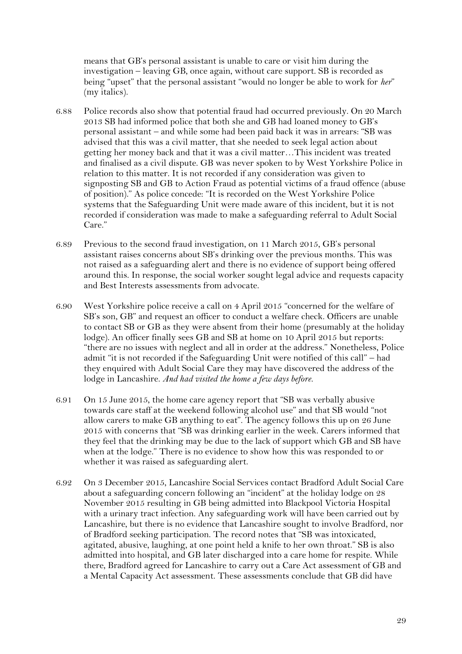means that GB's personal assistant is unable to care or visit him during the investigation – leaving GB, once again, without care support. SB is recorded as being "upset" that the personal assistant "would no longer be able to work for *her*" (my italics).

- 6.88 Police records also show that potential fraud had occurred previously. On 20 March 2013 SB had informed police that both she and GB had loaned money to GB's personal assistant – and while some had been paid back it was in arrears: "SB was advised that this was a civil matter, that she needed to seek legal action about getting her money back and that it was a civil matter…This incident was treated and finalised as a civil dispute. GB was never spoken to by West Yorkshire Police in relation to this matter. It is not recorded if any consideration was given to signposting SB and GB to Action Fraud as potential victims of a fraud offence (abuse of position)." As police concede: "It is recorded on the West Yorkshire Police systems that the Safeguarding Unit were made aware of this incident, but it is not recorded if consideration was made to make a safeguarding referral to Adult Social Care."
- 6.89 Previous to the second fraud investigation, on 11 March 2015, GB's personal assistant raises concerns about SB's drinking over the previous months. This was not raised as a safeguarding alert and there is no evidence of support being offered around this. In response, the social worker sought legal advice and requests capacity and Best Interests assessments from advocate.
- 6.90 West Yorkshire police receive a call on 4 April 2015 "concerned for the welfare of SB's son, GB" and request an officer to conduct a welfare check. Officers are unable to contact SB or GB as they were absent from their home (presumably at the holiday lodge). An officer finally sees GB and SB at home on 10 April 2015 but reports: "there are no issues with neglect and all in order at the address." Nonetheless, Police admit "it is not recorded if the Safeguarding Unit were notified of this call" – had they enquired with Adult Social Care they may have discovered the address of the lodge in Lancashire. *And had visited the home a few days before.*
- 6.91 On 15 June 2015, the home care agency report that "SB was verbally abusive towards care staff at the weekend following alcohol use" and that SB would "not allow carers to make GB anything to eat". The agency follows this up on 26 June 2015 with concerns that "SB was drinking earlier in the week. Carers informed that they feel that the drinking may be due to the lack of support which GB and SB have when at the lodge." There is no evidence to show how this was responded to or whether it was raised as safeguarding alert.
- 6.92 On 3 December 2015, Lancashire Social Services contact Bradford Adult Social Care about a safeguarding concern following an "incident" at the holiday lodge on 28 November 2015 resulting in GB being admitted into Blackpool Victoria Hospital with a urinary tract infection. Any safeguarding work will have been carried out by Lancashire, but there is no evidence that Lancashire sought to involve Bradford, nor of Bradford seeking participation. The record notes that "SB was intoxicated, agitated, abusive, laughing, at one point held a knife to her own throat." SB is also admitted into hospital, and GB later discharged into a care home for respite. While there, Bradford agreed for Lancashire to carry out a Care Act assessment of GB and a Mental Capacity Act assessment. These assessments conclude that GB did have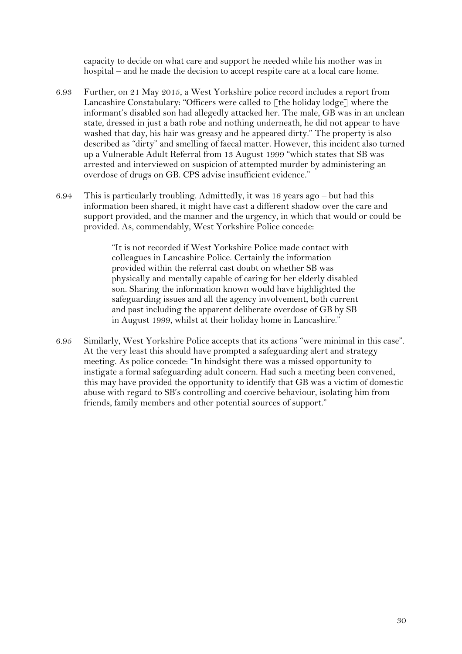capacity to decide on what care and support he needed while his mother was in hospital – and he made the decision to accept respite care at a local care home.

- 6.93 Further, on 21 May 2015, a West Yorkshire police record includes a report from Lancashire Constabulary: "Officers were called to [the holiday lodge] where the informant's disabled son had allegedly attacked her. The male, GB was in an unclean state, dressed in just a bath robe and nothing underneath, he did not appear to have washed that day, his hair was greasy and he appeared dirty." The property is also described as "dirty" and smelling of faecal matter. However, this incident also turned up a Vulnerable Adult Referral from 13 August 1999 "which states that SB was arrested and interviewed on suspicion of attempted murder by administering an overdose of drugs on GB. CPS advise insufficient evidence."
- 6.94 This is particularly troubling. Admittedly, it was 16 years ago but had this information been shared, it might have cast a different shadow over the care and support provided, and the manner and the urgency, in which that would or could be provided. As, commendably, West Yorkshire Police concede:

"It is not recorded if West Yorkshire Police made contact with colleagues in Lancashire Police. Certainly the information provided within the referral cast doubt on whether SB was physically and mentally capable of caring for her elderly disabled son. Sharing the information known would have highlighted the safeguarding issues and all the agency involvement, both current and past including the apparent deliberate overdose of GB by SB in August 1999, whilst at their holiday home in Lancashire."

6.95 Similarly, West Yorkshire Police accepts that its actions "were minimal in this case". At the very least this should have prompted a safeguarding alert and strategy meeting. As police concede: "In hindsight there was a missed opportunity to instigate a formal safeguarding adult concern. Had such a meeting been convened, this may have provided the opportunity to identify that GB was a victim of domestic abuse with regard to SB's controlling and coercive behaviour, isolating him from friends, family members and other potential sources of support."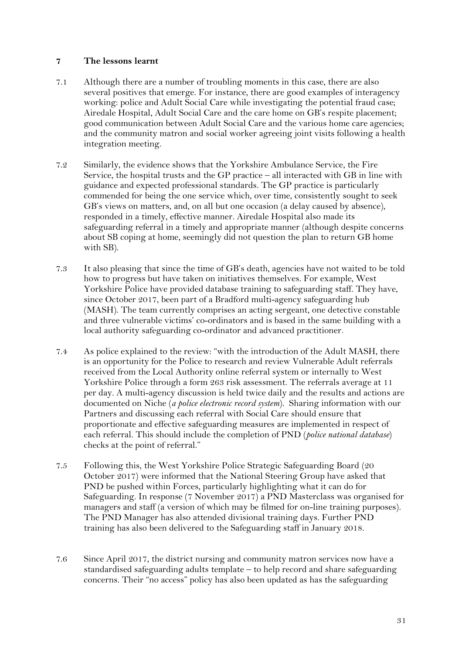#### **7 The lessons learnt**

- 7.1 Although there are a number of troubling moments in this case, there are also several positives that emerge. For instance, there are good examples of interagency working: police and Adult Social Care while investigating the potential fraud case; Airedale Hospital, Adult Social Care and the care home on GB's respite placement; good communication between Adult Social Care and the various home care agencies; and the community matron and social worker agreeing joint visits following a health integration meeting.
- 7.2 Similarly, the evidence shows that the Yorkshire Ambulance Service, the Fire Service, the hospital trusts and the GP practice – all interacted with GB in line with guidance and expected professional standards. The GP practice is particularly commended for being the one service which, over time, consistently sought to seek GB's views on matters, and, on all but one occasion (a delay caused by absence), responded in a timely, effective manner. Airedale Hospital also made its safeguarding referral in a timely and appropriate manner (although despite concerns about SB coping at home, seemingly did not question the plan to return GB home with SB).
- 7.3 It also pleasing that since the time of GB's death, agencies have not waited to be told how to progress but have taken on initiatives themselves. For example, West Yorkshire Police have provided database training to safeguarding staff. They have, since October 2017, been part of a Bradford multi-agency safeguarding hub (MASH). The team currently comprises an acting sergeant, one detective constable and three vulnerable victims' co-ordinators and is based in the same building with a local authority safeguarding co-ordinator and advanced practitioner.
- 7.4 As police explained to the review: "with the introduction of the Adult MASH, there is an opportunity for the Police to research and review Vulnerable Adult referrals received from the Local Authority online referral system or internally to West Yorkshire Police through a form 263 risk assessment. The referrals average at 11 per day. A multi-agency discussion is held twice daily and the results and actions are documented on Niche (*a police electronic record system*). Sharing information with our Partners and discussing each referral with Social Care should ensure that proportionate and effective safeguarding measures are implemented in respect of each referral. This should include the completion of PND (*police national database*) checks at the point of referral."
- 7.5 Following this, the West Yorkshire Police Strategic Safeguarding Board (20 October 2017) were informed that the National Steering Group have asked that PND be pushed within Forces, particularly highlighting what it can do for Safeguarding. In response (7 November 2017) a PND Masterclass was organised for managers and staff (a version of which may be filmed for on-line training purposes). The PND Manager has also attended divisional training days. Further PND training has also been delivered to the Safeguarding staff in January 2018.
- 7.6 Since April 2017, the district nursing and community matron services now have a standardised safeguarding adults template – to help record and share safeguarding concerns. Their "no access" policy has also been updated as has the safeguarding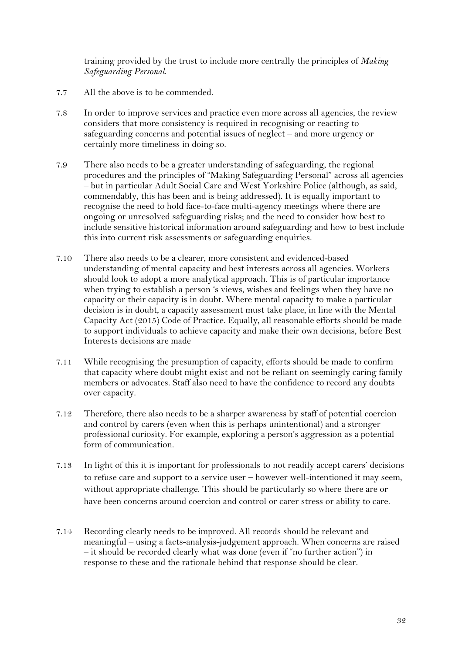training provided by the trust to include more centrally the principles of *Making Safeguarding Personal*.

- 7.7 All the above is to be commended.
- 7.8 In order to improve services and practice even more across all agencies, the review considers that more consistency is required in recognising or reacting to safeguarding concerns and potential issues of neglect – and more urgency or certainly more timeliness in doing so.
- 7.9 There also needs to be a greater understanding of safeguarding, the regional procedures and the principles of "Making Safeguarding Personal" across all agencies – but in particular Adult Social Care and West Yorkshire Police (although, as said, commendably, this has been and is being addressed). It is equally important to recognise the need to hold face-to-face multi-agency meetings where there are ongoing or unresolved safeguarding risks; and the need to consider how best to include sensitive historical information around safeguarding and how to best include this into current risk assessments or safeguarding enquiries.
- 7.10 There also needs to be a clearer, more consistent and evidenced-based understanding of mental capacity and best interests across all agencies. Workers should look to adopt a more analytical approach. This is of particular importance when trying to establish a person 's views, wishes and feelings when they have no capacity or their capacity is in doubt. Where mental capacity to make a particular decision is in doubt, a capacity assessment must take place, in line with the Mental Capacity Act (2015) Code of Practice. Equally, all reasonable efforts should be made to support individuals to achieve capacity and make their own decisions, before Best Interests decisions are made
- 7.11 While recognising the presumption of capacity, efforts should be made to confirm that capacity where doubt might exist and not be reliant on seemingly caring family members or advocates. Staff also need to have the confidence to record any doubts over capacity.
- 7.12 Therefore, there also needs to be a sharper awareness by staff of potential coercion and control by carers (even when this is perhaps unintentional) and a stronger professional curiosity. For example, exploring a person's aggression as a potential form of communication.
- 7.13 In light of this it is important for professionals to not readily accept carers' decisions to refuse care and support to a service user – however well-intentioned it may seem, without appropriate challenge. This should be particularly so where there are or have been concerns around coercion and control or carer stress or ability to care.
- 7.14 Recording clearly needs to be improved. All records should be relevant and meaningful – using a facts-analysis-judgement approach. When concerns are raised – it should be recorded clearly what was done (even if "no further action") in response to these and the rationale behind that response should be clear.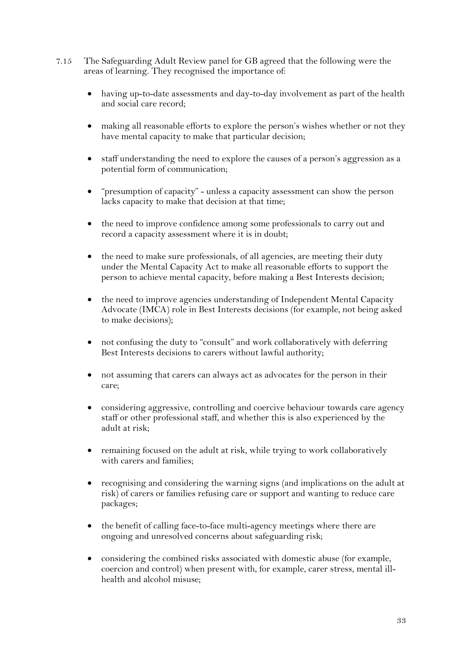- 7.15 The Safeguarding Adult Review panel for GB agreed that the following were the areas of learning. They recognised the importance of:
	- having up-to-date assessments and day-to-day involvement as part of the health and social care record;
	- making all reasonable efforts to explore the person's wishes whether or not they have mental capacity to make that particular decision;
	- staff understanding the need to explore the causes of a person's aggression as a potential form of communication;
	- "presumption of capacity" unless a capacity assessment can show the person lacks capacity to make that decision at that time;
	- the need to improve confidence among some professionals to carry out and record a capacity assessment where it is in doubt;
	- the need to make sure professionals, of all agencies, are meeting their duty under the Mental Capacity Act to make all reasonable efforts to support the person to achieve mental capacity, before making a Best Interests decision;
	- the need to improve agencies understanding of Independent Mental Capacity Advocate (IMCA) role in Best Interests decisions (for example, not being asked to make decisions);
	- not confusing the duty to "consult" and work collaboratively with deferring Best Interests decisions to carers without lawful authority;
	- not assuming that carers can always act as advocates for the person in their care;
	- considering aggressive, controlling and coercive behaviour towards care agency staff or other professional staff, and whether this is also experienced by the adult at risk;
	- remaining focused on the adult at risk, while trying to work collaboratively with carers and families;
	- recognising and considering the warning signs (and implications on the adult at risk) of carers or families refusing care or support and wanting to reduce care packages;
	- the benefit of calling face-to-face multi-agency meetings where there are ongoing and unresolved concerns about safeguarding risk;
	- considering the combined risks associated with domestic abuse (for example, coercion and control) when present with, for example, carer stress, mental illhealth and alcohol misuse;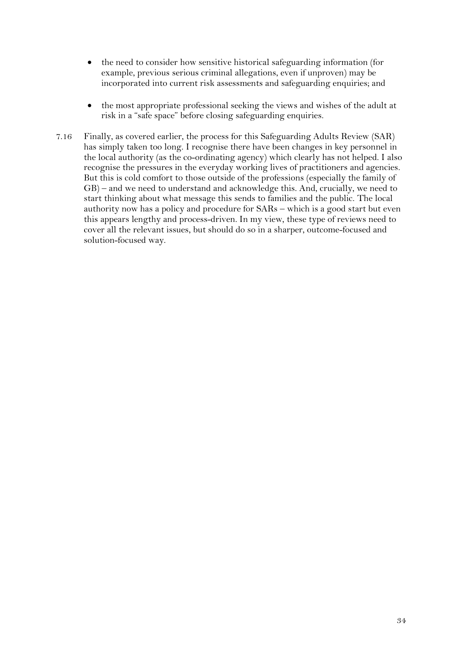- the need to consider how sensitive historical safeguarding information (for example, previous serious criminal allegations, even if unproven) may be incorporated into current risk assessments and safeguarding enquiries; and
- the most appropriate professional seeking the views and wishes of the adult at risk in a "safe space" before closing safeguarding enquiries.
- 7.16 Finally, as covered earlier, the process for this Safeguarding Adults Review (SAR) has simply taken too long. I recognise there have been changes in key personnel in the local authority (as the co-ordinating agency) which clearly has not helped. I also recognise the pressures in the everyday working lives of practitioners and agencies. But this is cold comfort to those outside of the professions (especially the family of GB) – and we need to understand and acknowledge this. And, crucially, we need to start thinking about what message this sends to families and the public. The local authority now has a policy and procedure for SARs – which is a good start but even this appears lengthy and process-driven. In my view, these type of reviews need to cover all the relevant issues, but should do so in a sharper, outcome-focused and solution-focused way.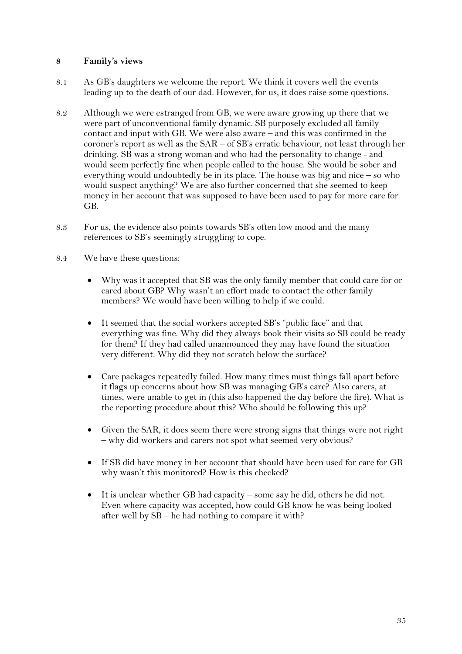#### **8 Family's views**

- 8.1 As GB's daughters we welcome the report. We think it covers well the events leading up to the death of our dad. However, for us, it does raise some questions.
- 8.2 Although we were estranged from GB, we were aware growing up there that we were part of unconventional family dynamic. SB purposely excluded all family contact and input with GB. We were also aware – and this was confirmed in the coroner's report as well as the SAR – of SB's erratic behaviour, not least through her drinking. SB was a strong woman and who had the personality to change - and would seem perfectly fine when people called to the house. She would be sober and everything would undoubtedly be in its place. The house was big and nice – so who would suspect anything? We are also further concerned that she seemed to keep money in her account that was supposed to have been used to pay for more care for GB.
- 8.3 For us, the evidence also points towards SB's often low mood and the many references to SB's seemingly struggling to cope.
- 8.4 We have these questions:
	- Why was it accepted that SB was the only family member that could care for or cared about GB? Why wasn't an effort made to contact the other family members? We would have been willing to help if we could.
	- It seemed that the social workers accepted SB's "public face" and that everything was fine. Why did they always book their visits so SB could be ready for them? If they had called unannounced they may have found the situation very different. Why did they not scratch below the surface?
	- Care packages repeatedly failed. How many times must things fall apart before it flags up concerns about how SB was managing GB's care? Also carers, at times, were unable to get in (this also happened the day before the fire). What is the reporting procedure about this? Who should be following this up?
	- Given the SAR, it does seem there were strong signs that things were not right – why did workers and carers not spot what seemed very obvious?
	- If SB did have money in her account that should have been used for care for GB why wasn't this monitored? How is this checked?
	- It is unclear whether GB had capacity some say he did, others he did not. Even where capacity was accepted, how could GB know he was being looked after well by SB – he had nothing to compare it with?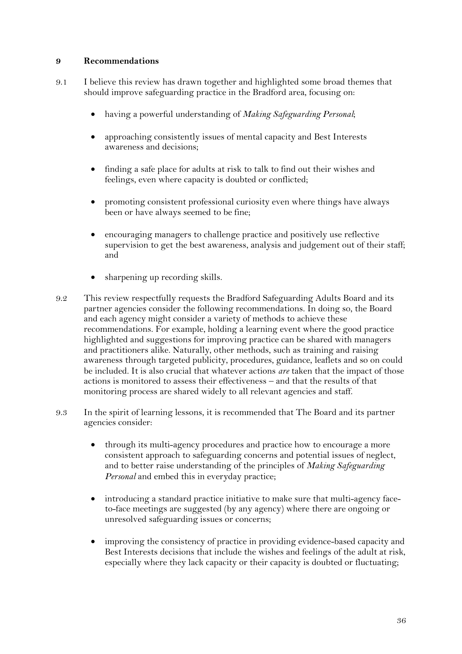#### **9 Recommendations**

- 9.1 I believe this review has drawn together and highlighted some broad themes that should improve safeguarding practice in the Bradford area, focusing on:
	- having a powerful understanding of *Making Safeguarding Personal*;
	- approaching consistently issues of mental capacity and Best Interests awareness and decisions;
	- finding a safe place for adults at risk to talk to find out their wishes and feelings, even where capacity is doubted or conflicted;
	- promoting consistent professional curiosity even where things have always been or have always seemed to be fine;
	- encouraging managers to challenge practice and positively use reflective supervision to get the best awareness, analysis and judgement out of their staff; and
	- sharpening up recording skills.
- 9.2 This review respectfully requests the Bradford Safeguarding Adults Board and its partner agencies consider the following recommendations. In doing so, the Board and each agency might consider a variety of methods to achieve these recommendations. For example, holding a learning event where the good practice highlighted and suggestions for improving practice can be shared with managers and practitioners alike. Naturally, other methods, such as training and raising awareness through targeted publicity, procedures, guidance, leaflets and so on could be included. It is also crucial that whatever actions *are* taken that the impact of those actions is monitored to assess their effectiveness – and that the results of that monitoring process are shared widely to all relevant agencies and staff.
- 9.3 In the spirit of learning lessons, it is recommended that The Board and its partner agencies consider:
	- through its multi-agency procedures and practice how to encourage a more consistent approach to safeguarding concerns and potential issues of neglect, and to better raise understanding of the principles of *Making Safeguarding Personal* and embed this in everyday practice;
	- introducing a standard practice initiative to make sure that multi-agency faceto-face meetings are suggested (by any agency) where there are ongoing or unresolved safeguarding issues or concerns;
	- improving the consistency of practice in providing evidence-based capacity and Best Interests decisions that include the wishes and feelings of the adult at risk, especially where they lack capacity or their capacity is doubted or fluctuating;